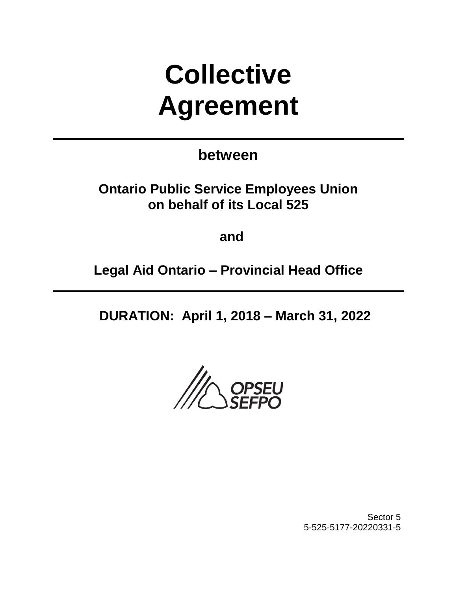# **Collective Agreement**

# **between**

**Ontario Public Service Employees Union on behalf of its Local 525**

**and**

**Legal Aid Ontario – Provincial Head Office**

**DURATION: April 1, 2018 – March 31, 2022**



Sector 5 5-525-5177-20220331-5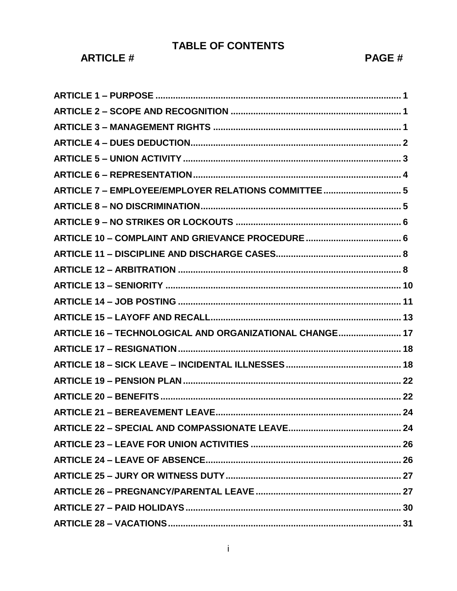# **TABLE OF CONTENTS**

**ARTICLE #** 

| ARTICLE 7 - EMPLOYEE/EMPLOYER RELATIONS COMMITTEE 5     |  |
|---------------------------------------------------------|--|
|                                                         |  |
|                                                         |  |
|                                                         |  |
|                                                         |  |
|                                                         |  |
|                                                         |  |
|                                                         |  |
|                                                         |  |
| ARTICLE 16 - TECHNOLOGICAL AND ORGANIZATIONAL CHANGE 17 |  |
|                                                         |  |
|                                                         |  |
|                                                         |  |
|                                                         |  |
|                                                         |  |
|                                                         |  |
|                                                         |  |
|                                                         |  |
|                                                         |  |
|                                                         |  |
|                                                         |  |
|                                                         |  |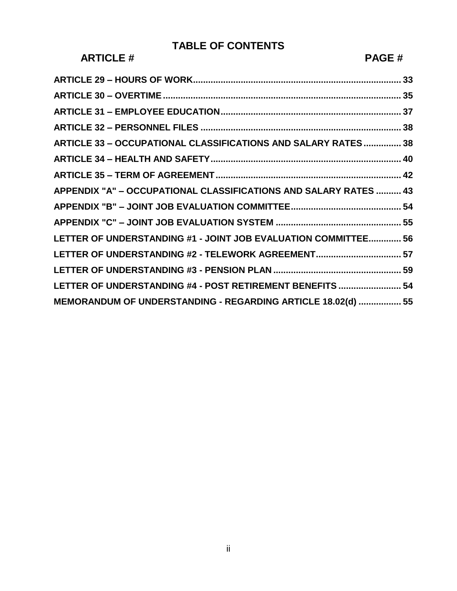# **TABLE OF CONTENTS**

| ARTICLE 33 - OCCUPATIONAL CLASSIFICATIONS AND SALARY RATES 38    |  |
|------------------------------------------------------------------|--|
|                                                                  |  |
|                                                                  |  |
| APPENDIX "A" - OCCUPATIONAL CLASSIFICATIONS AND SALARY RATES  43 |  |
|                                                                  |  |
|                                                                  |  |
| LETTER OF UNDERSTANDING #1 - JOINT JOB EVALUATION COMMITTEE 56   |  |
|                                                                  |  |
|                                                                  |  |
| LETTER OF UNDERSTANDING #4 - POST RETIREMENT BENEFITS  54        |  |
| MEMORANDUM OF UNDERSTANDING - REGARDING ARTICLE 18.02(d)  55     |  |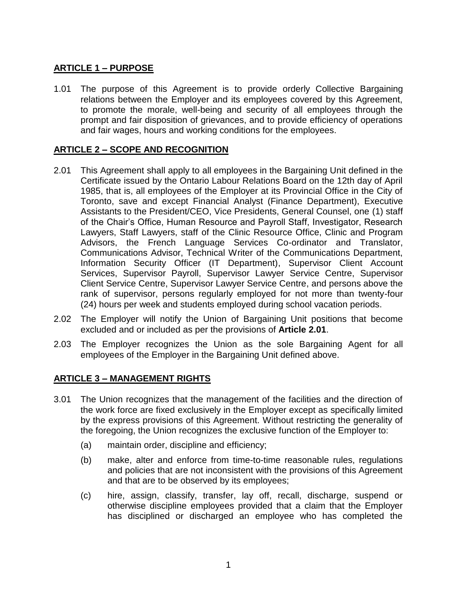# **ARTICLE 1 – PURPOSE**

1.01 The purpose of this Agreement is to provide orderly Collective Bargaining relations between the Employer and its employees covered by this Agreement, to promote the morale, well-being and security of all employees through the prompt and fair disposition of grievances, and to provide efficiency of operations and fair wages, hours and working conditions for the employees.

#### **ARTICLE 2 – SCOPE AND RECOGNITION**

- 2.01 This Agreement shall apply to all employees in the Bargaining Unit defined in the Certificate issued by the Ontario Labour Relations Board on the 12th day of April 1985, that is, all employees of the Employer at its Provincial Office in the City of Toronto, save and except Financial Analyst (Finance Department), Executive Assistants to the President/CEO, Vice Presidents, General Counsel, one (1) staff of the Chair's Office, Human Resource and Payroll Staff, Investigator, Research Lawyers, Staff Lawyers, staff of the Clinic Resource Office, Clinic and Program Advisors, the French Language Services Co-ordinator and Translator, Communications Advisor, Technical Writer of the Communications Department, Information Security Officer (IT Department), Supervisor Client Account Services, Supervisor Payroll, Supervisor Lawyer Service Centre, Supervisor Client Service Centre, Supervisor Lawyer Service Centre, and persons above the rank of supervisor, persons regularly employed for not more than twenty-four (24) hours per week and students employed during school vacation periods.
- 2.02 The Employer will notify the Union of Bargaining Unit positions that become excluded and or included as per the provisions of **Article 2.01**.
- 2.03 The Employer recognizes the Union as the sole Bargaining Agent for all employees of the Employer in the Bargaining Unit defined above.

# **ARTICLE 3 – MANAGEMENT RIGHTS**

- 3.01 The Union recognizes that the management of the facilities and the direction of the work force are fixed exclusively in the Employer except as specifically limited by the express provisions of this Agreement. Without restricting the generality of the foregoing, the Union recognizes the exclusive function of the Employer to:
	- (a) maintain order, discipline and efficiency;
	- (b) make, alter and enforce from time-to-time reasonable rules, regulations and policies that are not inconsistent with the provisions of this Agreement and that are to be observed by its employees;
	- (c) hire, assign, classify, transfer, lay off, recall, discharge, suspend or otherwise discipline employees provided that a claim that the Employer has disciplined or discharged an employee who has completed the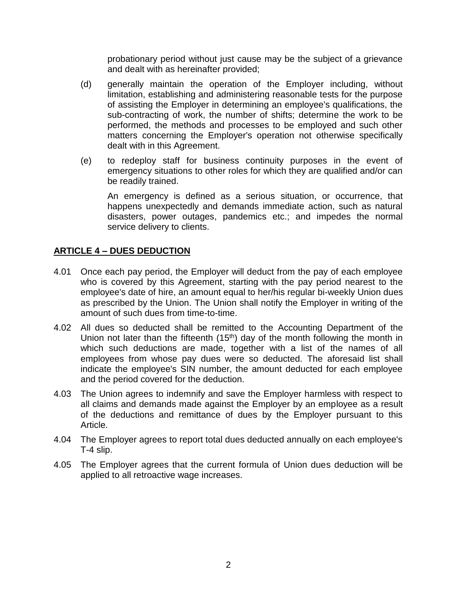probationary period without just cause may be the subject of a grievance and dealt with as hereinafter provided;

- (d) generally maintain the operation of the Employer including, without limitation, establishing and administering reasonable tests for the purpose of assisting the Employer in determining an employee's qualifications, the sub-contracting of work, the number of shifts; determine the work to be performed, the methods and processes to be employed and such other matters concerning the Employer's operation not otherwise specifically dealt with in this Agreement.
- (e) to redeploy staff for business continuity purposes in the event of emergency situations to other roles for which they are qualified and/or can be readily trained.

An emergency is defined as a serious situation, or occurrence, that happens unexpectedly and demands immediate action, such as natural disasters, power outages, pandemics etc.; and impedes the normal service delivery to clients.

# **ARTICLE 4 – DUES DEDUCTION**

- 4.01 Once each pay period, the Employer will deduct from the pay of each employee who is covered by this Agreement, starting with the pay period nearest to the employee's date of hire, an amount equal to her/his regular bi-weekly Union dues as prescribed by the Union. The Union shall notify the Employer in writing of the amount of such dues from time-to-time.
- 4.02 All dues so deducted shall be remitted to the Accounting Department of the Union not later than the fifteenth  $(15<sup>th</sup>)$  day of the month following the month in which such deductions are made, together with a list of the names of all employees from whose pay dues were so deducted. The aforesaid list shall indicate the employee's SIN number, the amount deducted for each employee and the period covered for the deduction.
- 4.03 The Union agrees to indemnify and save the Employer harmless with respect to all claims and demands made against the Employer by an employee as a result of the deductions and remittance of dues by the Employer pursuant to this Article.
- 4.04 The Employer agrees to report total dues deducted annually on each employee's T-4 slip.
- 4.05 The Employer agrees that the current formula of Union dues deduction will be applied to all retroactive wage increases.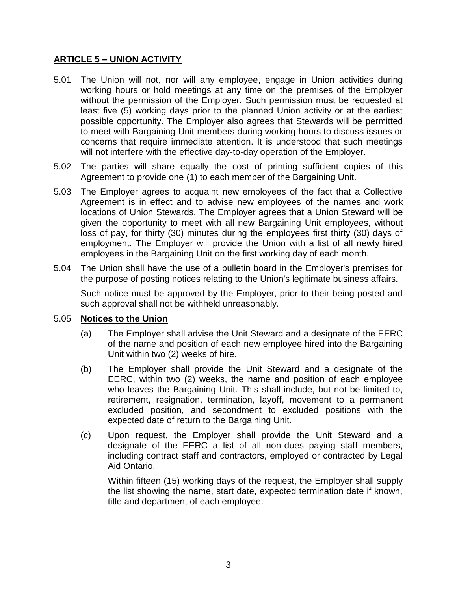#### **ARTICLE 5 – UNION ACTIVITY**

- 5.01 The Union will not, nor will any employee, engage in Union activities during working hours or hold meetings at any time on the premises of the Employer without the permission of the Employer. Such permission must be requested at least five (5) working days prior to the planned Union activity or at the earliest possible opportunity. The Employer also agrees that Stewards will be permitted to meet with Bargaining Unit members during working hours to discuss issues or concerns that require immediate attention. It is understood that such meetings will not interfere with the effective day-to-day operation of the Employer.
- 5.02 The parties will share equally the cost of printing sufficient copies of this Agreement to provide one (1) to each member of the Bargaining Unit.
- 5.03 The Employer agrees to acquaint new employees of the fact that a Collective Agreement is in effect and to advise new employees of the names and work locations of Union Stewards. The Employer agrees that a Union Steward will be given the opportunity to meet with all new Bargaining Unit employees, without loss of pay, for thirty (30) minutes during the employees first thirty (30) days of employment. The Employer will provide the Union with a list of all newly hired employees in the Bargaining Unit on the first working day of each month.
- 5.04 The Union shall have the use of a bulletin board in the Employer's premises for the purpose of posting notices relating to the Union's legitimate business affairs.

Such notice must be approved by the Employer, prior to their being posted and such approval shall not be withheld unreasonably.

#### 5.05 **Notices to the Union**

- (a) The Employer shall advise the Unit Steward and a designate of the EERC of the name and position of each new employee hired into the Bargaining Unit within two (2) weeks of hire.
- (b) The Employer shall provide the Unit Steward and a designate of the EERC, within two (2) weeks, the name and position of each employee who leaves the Bargaining Unit. This shall include, but not be limited to, retirement, resignation, termination, layoff, movement to a permanent excluded position, and secondment to excluded positions with the expected date of return to the Bargaining Unit.
- (c) Upon request, the Employer shall provide the Unit Steward and a designate of the EERC a list of all non-dues paying staff members, including contract staff and contractors, employed or contracted by Legal Aid Ontario.

Within fifteen (15) working days of the request, the Employer shall supply the list showing the name, start date, expected termination date if known, title and department of each employee.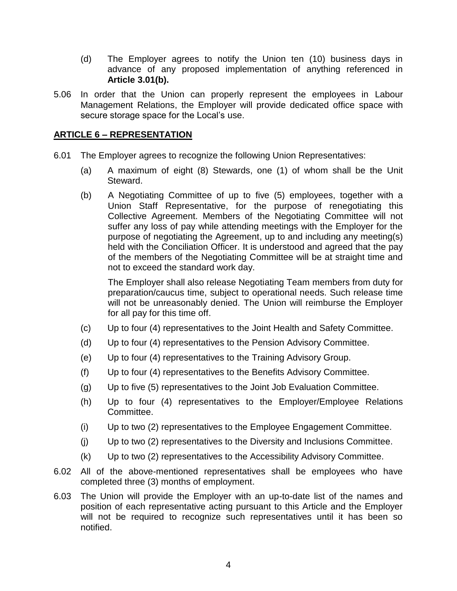- (d) The Employer agrees to notify the Union ten (10) business days in advance of any proposed implementation of anything referenced in **Article 3.01(b).**
- 5.06 In order that the Union can properly represent the employees in Labour Management Relations, the Employer will provide dedicated office space with secure storage space for the Local's use.

#### **ARTICLE 6 – REPRESENTATION**

- 6.01 The Employer agrees to recognize the following Union Representatives:
	- (a) A maximum of eight (8) Stewards, one (1) of whom shall be the Unit Steward.
	- (b) A Negotiating Committee of up to five (5) employees, together with a Union Staff Representative, for the purpose of renegotiating this Collective Agreement. Members of the Negotiating Committee will not suffer any loss of pay while attending meetings with the Employer for the purpose of negotiating the Agreement, up to and including any meeting(s) held with the Conciliation Officer. It is understood and agreed that the pay of the members of the Negotiating Committee will be at straight time and not to exceed the standard work day.

The Employer shall also release Negotiating Team members from duty for preparation/caucus time, subject to operational needs. Such release time will not be unreasonably denied. The Union will reimburse the Employer for all pay for this time off.

- (c) Up to four (4) representatives to the Joint Health and Safety Committee.
- (d) Up to four (4) representatives to the Pension Advisory Committee.
- (e) Up to four (4) representatives to the Training Advisory Group.
- (f) Up to four (4) representatives to the Benefits Advisory Committee.
- (g) Up to five (5) representatives to the Joint Job Evaluation Committee.
- (h) Up to four (4) representatives to the Employer/Employee Relations Committee.
- (i) Up to two (2) representatives to the Employee Engagement Committee.
- (j) Up to two (2) representatives to the Diversity and Inclusions Committee.
- (k) Up to two (2) representatives to the Accessibility Advisory Committee.
- 6.02 All of the above-mentioned representatives shall be employees who have completed three (3) months of employment.
- 6.03 The Union will provide the Employer with an up-to-date list of the names and position of each representative acting pursuant to this Article and the Employer will not be required to recognize such representatives until it has been so notified.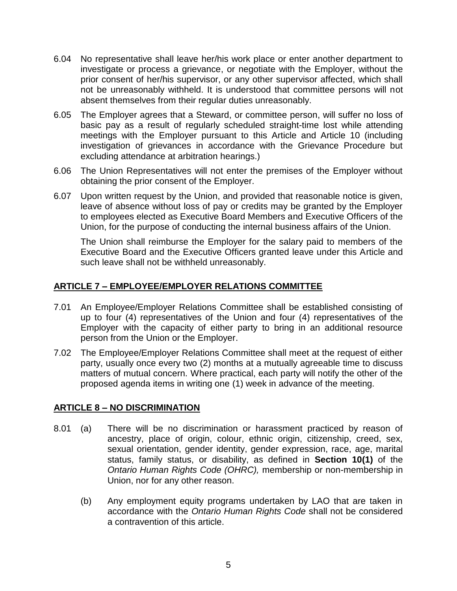- 6.04 No representative shall leave her/his work place or enter another department to investigate or process a grievance, or negotiate with the Employer, without the prior consent of her/his supervisor, or any other supervisor affected, which shall not be unreasonably withheld. It is understood that committee persons will not absent themselves from their regular duties unreasonably.
- 6.05 The Employer agrees that a Steward, or committee person, will suffer no loss of basic pay as a result of regularly scheduled straight-time lost while attending meetings with the Employer pursuant to this Article and Article 10 (including investigation of grievances in accordance with the Grievance Procedure but excluding attendance at arbitration hearings.)
- 6.06 The Union Representatives will not enter the premises of the Employer without obtaining the prior consent of the Employer.
- 6.07 Upon written request by the Union, and provided that reasonable notice is given, leave of absence without loss of pay or credits may be granted by the Employer to employees elected as Executive Board Members and Executive Officers of the Union, for the purpose of conducting the internal business affairs of the Union.

The Union shall reimburse the Employer for the salary paid to members of the Executive Board and the Executive Officers granted leave under this Article and such leave shall not be withheld unreasonably.

# **ARTICLE 7 – EMPLOYEE/EMPLOYER RELATIONS COMMITTEE**

- 7.01 An Employee/Employer Relations Committee shall be established consisting of up to four (4) representatives of the Union and four (4) representatives of the Employer with the capacity of either party to bring in an additional resource person from the Union or the Employer.
- 7.02 The Employee/Employer Relations Committee shall meet at the request of either party, usually once every two (2) months at a mutually agreeable time to discuss matters of mutual concern. Where practical, each party will notify the other of the proposed agenda items in writing one (1) week in advance of the meeting.

# **ARTICLE 8 – NO DISCRIMINATION**

- 8.01 (a) There will be no discrimination or harassment practiced by reason of ancestry, place of origin, colour, ethnic origin, citizenship, creed, sex, sexual orientation, gender identity, gender expression, race, age, marital status, family status, or disability, as defined in **Section 10(1)** of the *Ontario Human Rights Code (OHRC),* membership or non-membership in Union, nor for any other reason.
	- (b) Any employment equity programs undertaken by LAO that are taken in accordance with the *Ontario Human Rights Code* shall not be considered a contravention of this article.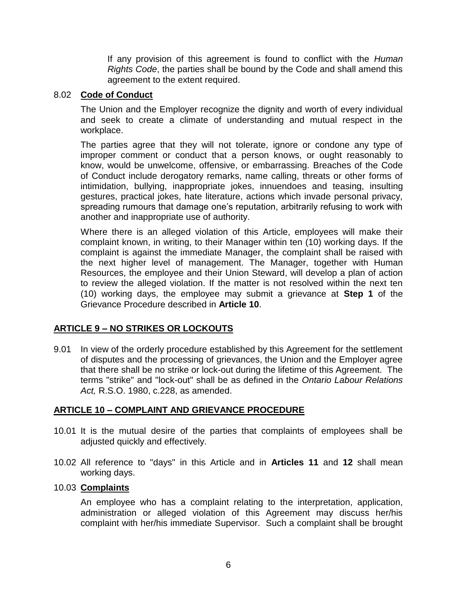If any provision of this agreement is found to conflict with the *Human Rights Code*, the parties shall be bound by the Code and shall amend this agreement to the extent required.

#### 8.02 **Code of Conduct**

The Union and the Employer recognize the dignity and worth of every individual and seek to create a climate of understanding and mutual respect in the workplace.

The parties agree that they will not tolerate, ignore or condone any type of improper comment or conduct that a person knows, or ought reasonably to know, would be unwelcome, offensive, or embarrassing. Breaches of the Code of Conduct include derogatory remarks, name calling, threats or other forms of intimidation, bullying, inappropriate jokes, innuendoes and teasing, insulting gestures, practical jokes, hate literature, actions which invade personal privacy, spreading rumours that damage one's reputation, arbitrarily refusing to work with another and inappropriate use of authority.

Where there is an alleged violation of this Article, employees will make their complaint known, in writing, to their Manager within ten (10) working days. If the complaint is against the immediate Manager, the complaint shall be raised with the next higher level of management. The Manager, together with Human Resources, the employee and their Union Steward, will develop a plan of action to review the alleged violation. If the matter is not resolved within the next ten (10) working days, the employee may submit a grievance at **Step 1** of the Grievance Procedure described in **Article 10**.

# **ARTICLE 9 – NO STRIKES OR LOCKOUTS**

9.01 In view of the orderly procedure established by this Agreement for the settlement of disputes and the processing of grievances, the Union and the Employer agree that there shall be no strike or lock-out during the lifetime of this Agreement. The terms "strike" and "lock-out" shall be as defined in the *Ontario Labour Relations Act,* R.S.O. 1980, c.228, as amended.

#### **ARTICLE 10 – COMPLAINT AND GRIEVANCE PROCEDURE**

- 10.01 It is the mutual desire of the parties that complaints of employees shall be adjusted quickly and effectively.
- 10.02 All reference to "days" in this Article and in **Articles 11** and **12** shall mean working days.

#### 10.03 **Complaints**

An employee who has a complaint relating to the interpretation, application, administration or alleged violation of this Agreement may discuss her/his complaint with her/his immediate Supervisor. Such a complaint shall be brought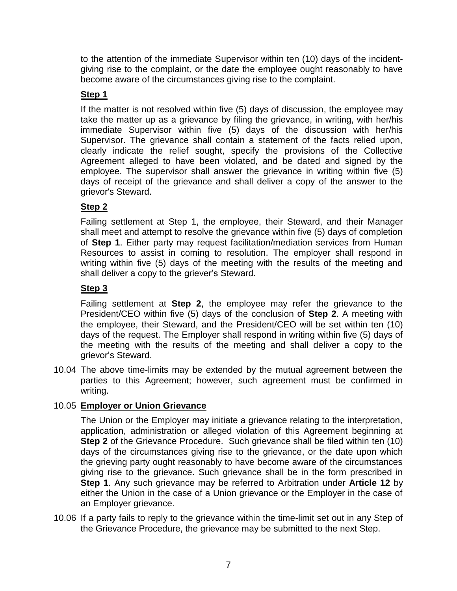to the attention of the immediate Supervisor within ten (10) days of the incidentgiving rise to the complaint, or the date the employee ought reasonably to have become aware of the circumstances giving rise to the complaint.

# **Step 1**

If the matter is not resolved within five (5) days of discussion, the employee may take the matter up as a grievance by filing the grievance, in writing, with her/his immediate Supervisor within five (5) days of the discussion with her/his Supervisor. The grievance shall contain a statement of the facts relied upon, clearly indicate the relief sought, specify the provisions of the Collective Agreement alleged to have been violated, and be dated and signed by the employee. The supervisor shall answer the grievance in writing within five (5) days of receipt of the grievance and shall deliver a copy of the answer to the grievor's Steward.

# **Step 2**

Failing settlement at Step 1, the employee, their Steward, and their Manager shall meet and attempt to resolve the grievance within five (5) days of completion of **Step 1**. Either party may request facilitation/mediation services from Human Resources to assist in coming to resolution. The employer shall respond in writing within five (5) days of the meeting with the results of the meeting and shall deliver a copy to the griever's Steward.

# **Step 3**

Failing settlement at **Step 2**, the employee may refer the grievance to the President/CEO within five (5) days of the conclusion of **Step 2**. A meeting with the employee, their Steward, and the President/CEO will be set within ten (10) days of the request. The Employer shall respond in writing within five (5) days of the meeting with the results of the meeting and shall deliver a copy to the grievor's Steward.

10.04 The above time-limits may be extended by the mutual agreement between the parties to this Agreement; however, such agreement must be confirmed in writing.

# 10.05 **Employer or Union Grievance**

The Union or the Employer may initiate a grievance relating to the interpretation, application, administration or alleged violation of this Agreement beginning at **Step 2** of the Grievance Procedure. Such grievance shall be filed within ten (10) days of the circumstances giving rise to the grievance, or the date upon which the grieving party ought reasonably to have become aware of the circumstances giving rise to the grievance. Such grievance shall be in the form prescribed in **Step 1**. Any such grievance may be referred to Arbitration under **Article 12** by either the Union in the case of a Union grievance or the Employer in the case of an Employer grievance.

10.06 If a party fails to reply to the grievance within the time-limit set out in any Step of the Grievance Procedure, the grievance may be submitted to the next Step.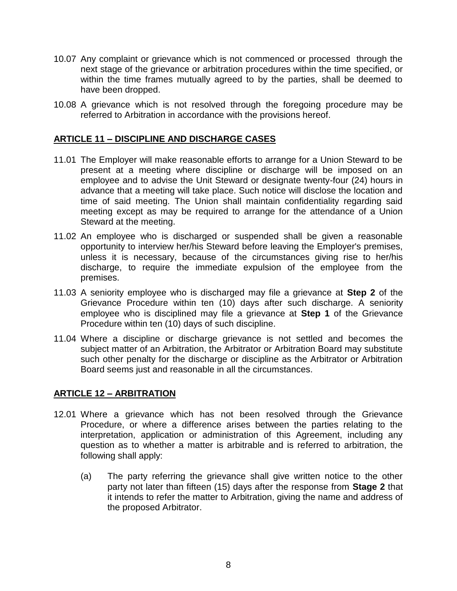- 10.07 Any complaint or grievance which is not commenced or processed through the next stage of the grievance or arbitration procedures within the time specified, or within the time frames mutually agreed to by the parties, shall be deemed to have been dropped.
- 10.08 A grievance which is not resolved through the foregoing procedure may be referred to Arbitration in accordance with the provisions hereof.

#### **ARTICLE 11 – DISCIPLINE AND DISCHARGE CASES**

- 11.01 The Employer will make reasonable efforts to arrange for a Union Steward to be present at a meeting where discipline or discharge will be imposed on an employee and to advise the Unit Steward or designate twenty-four (24) hours in advance that a meeting will take place. Such notice will disclose the location and time of said meeting. The Union shall maintain confidentiality regarding said meeting except as may be required to arrange for the attendance of a Union Steward at the meeting.
- 11.02 An employee who is discharged or suspended shall be given a reasonable opportunity to interview her/his Steward before leaving the Employer's premises, unless it is necessary, because of the circumstances giving rise to her/his discharge, to require the immediate expulsion of the employee from the premises.
- 11.03 A seniority employee who is discharged may file a grievance at **Step 2** of the Grievance Procedure within ten (10) days after such discharge. A seniority employee who is disciplined may file a grievance at **Step 1** of the Grievance Procedure within ten (10) days of such discipline.
- 11.04 Where a discipline or discharge grievance is not settled and becomes the subject matter of an Arbitration, the Arbitrator or Arbitration Board may substitute such other penalty for the discharge or discipline as the Arbitrator or Arbitration Board seems just and reasonable in all the circumstances.

# **ARTICLE 12 – ARBITRATION**

- 12.01 Where a grievance which has not been resolved through the Grievance Procedure, or where a difference arises between the parties relating to the interpretation, application or administration of this Agreement, including any question as to whether a matter is arbitrable and is referred to arbitration, the following shall apply:
	- (a) The party referring the grievance shall give written notice to the other party not later than fifteen (15) days after the response from **Stage 2** that it intends to refer the matter to Arbitration, giving the name and address of the proposed Arbitrator.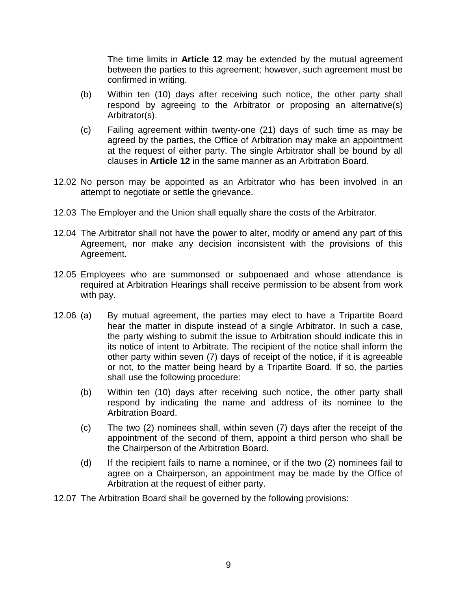The time limits in **Article 12** may be extended by the mutual agreement between the parties to this agreement; however, such agreement must be confirmed in writing.

- (b) Within ten (10) days after receiving such notice, the other party shall respond by agreeing to the Arbitrator or proposing an alternative(s) Arbitrator(s).
- (c) Failing agreement within twenty-one (21) days of such time as may be agreed by the parties, the Office of Arbitration may make an appointment at the request of either party. The single Arbitrator shall be bound by all clauses in **Article 12** in the same manner as an Arbitration Board.
- 12.02 No person may be appointed as an Arbitrator who has been involved in an attempt to negotiate or settle the grievance.
- 12.03 The Employer and the Union shall equally share the costs of the Arbitrator.
- 12.04 The Arbitrator shall not have the power to alter, modify or amend any part of this Agreement, nor make any decision inconsistent with the provisions of this Agreement.
- 12.05 Employees who are summonsed or subpoenaed and whose attendance is required at Arbitration Hearings shall receive permission to be absent from work with pay.
- 12.06 (a) By mutual agreement, the parties may elect to have a Tripartite Board hear the matter in dispute instead of a single Arbitrator. In such a case, the party wishing to submit the issue to Arbitration should indicate this in its notice of intent to Arbitrate. The recipient of the notice shall inform the other party within seven (7) days of receipt of the notice, if it is agreeable or not, to the matter being heard by a Tripartite Board. If so, the parties shall use the following procedure:
	- (b) Within ten (10) days after receiving such notice, the other party shall respond by indicating the name and address of its nominee to the Arbitration Board.
	- (c) The two (2) nominees shall, within seven (7) days after the receipt of the appointment of the second of them, appoint a third person who shall be the Chairperson of the Arbitration Board.
	- (d) If the recipient fails to name a nominee, or if the two (2) nominees fail to agree on a Chairperson, an appointment may be made by the Office of Arbitration at the request of either party.
- 12.07 The Arbitration Board shall be governed by the following provisions: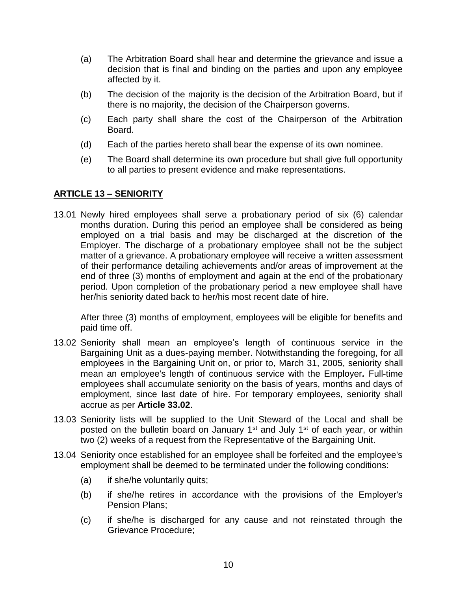- (a) The Arbitration Board shall hear and determine the grievance and issue a decision that is final and binding on the parties and upon any employee affected by it.
- (b) The decision of the majority is the decision of the Arbitration Board, but if there is no majority, the decision of the Chairperson governs.
- (c) Each party shall share the cost of the Chairperson of the Arbitration Board.
- (d) Each of the parties hereto shall bear the expense of its own nominee.
- (e) The Board shall determine its own procedure but shall give full opportunity to all parties to present evidence and make representations.

# **ARTICLE 13 – SENIORITY**

13.01 Newly hired employees shall serve a probationary period of six (6) calendar months duration. During this period an employee shall be considered as being employed on a trial basis and may be discharged at the discretion of the Employer. The discharge of a probationary employee shall not be the subject matter of a grievance. A probationary employee will receive a written assessment of their performance detailing achievements and/or areas of improvement at the end of three (3) months of employment and again at the end of the probationary period. Upon completion of the probationary period a new employee shall have her/his seniority dated back to her/his most recent date of hire.

After three (3) months of employment, employees will be eligible for benefits and paid time off.

- 13.02 Seniority shall mean an employee's length of continuous service in the Bargaining Unit as a dues-paying member. Notwithstanding the foregoing, for all employees in the Bargaining Unit on, or prior to, March 31, 2005, seniority shall mean an employee's length of continuous service with the Employer*.* Full-time employees shall accumulate seniority on the basis of years, months and days of employment, since last date of hire. For temporary employees, seniority shall accrue as per **Article 33.02**.
- 13.03 Seniority lists will be supplied to the Unit Steward of the Local and shall be posted on the bulletin board on January 1<sup>st</sup> and July 1<sup>st</sup> of each year, or within two (2) weeks of a request from the Representative of the Bargaining Unit.
- 13.04 Seniority once established for an employee shall be forfeited and the employee's employment shall be deemed to be terminated under the following conditions:
	- (a) if she/he voluntarily quits;
	- (b) if she/he retires in accordance with the provisions of the Employer's Pension Plans;
	- (c) if she/he is discharged for any cause and not reinstated through the Grievance Procedure;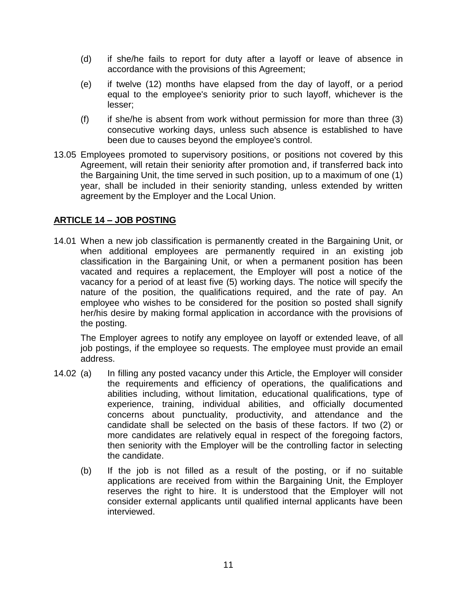- (d) if she/he fails to report for duty after a layoff or leave of absence in accordance with the provisions of this Agreement;
- (e) if twelve (12) months have elapsed from the day of layoff, or a period equal to the employee's seniority prior to such layoff, whichever is the lesser;
- $(f)$  if she/he is absent from work without permission for more than three  $(3)$ consecutive working days, unless such absence is established to have been due to causes beyond the employee's control.
- 13.05 Employees promoted to supervisory positions, or positions not covered by this Agreement, will retain their seniority after promotion and, if transferred back into the Bargaining Unit, the time served in such position, up to a maximum of one (1) year, shall be included in their seniority standing, unless extended by written agreement by the Employer and the Local Union.

# **ARTICLE 14 – JOB POSTING**

14.01 When a new job classification is permanently created in the Bargaining Unit, or when additional employees are permanently required in an existing job classification in the Bargaining Unit, or when a permanent position has been vacated and requires a replacement, the Employer will post a notice of the vacancy for a period of at least five (5) working days. The notice will specify the nature of the position, the qualifications required, and the rate of pay. An employee who wishes to be considered for the position so posted shall signify her/his desire by making formal application in accordance with the provisions of the posting.

The Employer agrees to notify any employee on layoff or extended leave, of all job postings, if the employee so requests. The employee must provide an email address.

- 14.02 (a) In filling any posted vacancy under this Article, the Employer will consider the requirements and efficiency of operations, the qualifications and abilities including, without limitation, educational qualifications, type of experience, training, individual abilities, and officially documented concerns about punctuality, productivity, and attendance and the candidate shall be selected on the basis of these factors. If two (2) or more candidates are relatively equal in respect of the foregoing factors, then seniority with the Employer will be the controlling factor in selecting the candidate.
	- (b) If the job is not filled as a result of the posting, or if no suitable applications are received from within the Bargaining Unit, the Employer reserves the right to hire. It is understood that the Employer will not consider external applicants until qualified internal applicants have been interviewed.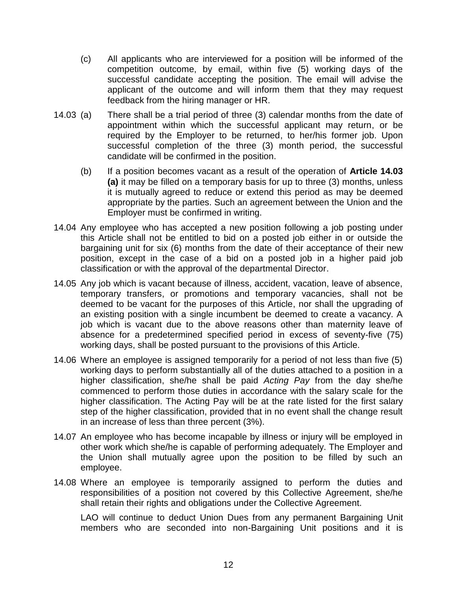- (c) All applicants who are interviewed for a position will be informed of the competition outcome, by email, within five (5) working days of the successful candidate accepting the position. The email will advise the applicant of the outcome and will inform them that they may request feedback from the hiring manager or HR.
- 14.03 (a) There shall be a trial period of three (3) calendar months from the date of appointment within which the successful applicant may return, or be required by the Employer to be returned, to her/his former job. Upon successful completion of the three (3) month period, the successful candidate will be confirmed in the position.
	- (b) If a position becomes vacant as a result of the operation of **Article 14.03 (a)** it may be filled on a temporary basis for up to three (3) months, unless it is mutually agreed to reduce or extend this period as may be deemed appropriate by the parties. Such an agreement between the Union and the Employer must be confirmed in writing.
- 14.04 Any employee who has accepted a new position following a job posting under this Article shall not be entitled to bid on a posted job either in or outside the bargaining unit for six (6) months from the date of their acceptance of their new position, except in the case of a bid on a posted job in a higher paid job classification or with the approval of the departmental Director.
- 14.05 Any job which is vacant because of illness, accident, vacation, leave of absence, temporary transfers, or promotions and temporary vacancies, shall not be deemed to be vacant for the purposes of this Article, nor shall the upgrading of an existing position with a single incumbent be deemed to create a vacancy. A job which is vacant due to the above reasons other than maternity leave of absence for a predetermined specified period in excess of seventy-five (75) working days, shall be posted pursuant to the provisions of this Article.
- 14.06 Where an employee is assigned temporarily for a period of not less than five (5) working days to perform substantially all of the duties attached to a position in a higher classification, she/he shall be paid *Acting Pay* from the day she/he commenced to perform those duties in accordance with the salary scale for the higher classification. The Acting Pay will be at the rate listed for the first salary step of the higher classification, provided that in no event shall the change result in an increase of less than three percent (3%).
- 14.07 An employee who has become incapable by illness or injury will be employed in other work which she/he is capable of performing adequately. The Employer and the Union shall mutually agree upon the position to be filled by such an employee.
- 14.08 Where an employee is temporarily assigned to perform the duties and responsibilities of a position not covered by this Collective Agreement, she/he shall retain their rights and obligations under the Collective Agreement.

LAO will continue to deduct Union Dues from any permanent Bargaining Unit members who are seconded into non-Bargaining Unit positions and it is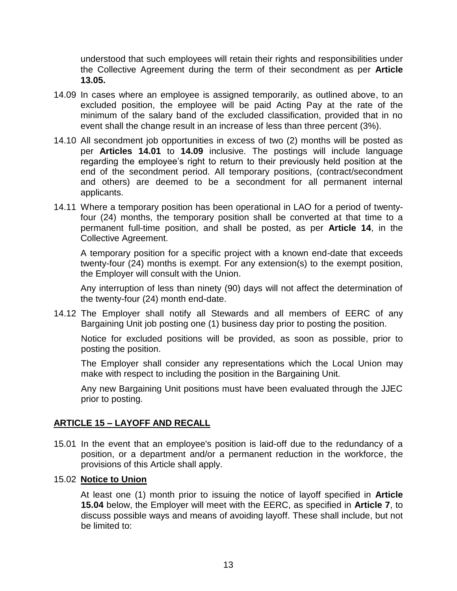understood that such employees will retain their rights and responsibilities under the Collective Agreement during the term of their secondment as per **Article 13.05.**

- 14.09 In cases where an employee is assigned temporarily, as outlined above, to an excluded position, the employee will be paid Acting Pay at the rate of the minimum of the salary band of the excluded classification, provided that in no event shall the change result in an increase of less than three percent (3%).
- 14.10 All secondment job opportunities in excess of two (2) months will be posted as per **Articles 14.01** to **14.09** inclusive. The postings will include language regarding the employee's right to return to their previously held position at the end of the secondment period. All temporary positions, (contract/secondment and others) are deemed to be a secondment for all permanent internal applicants.
- 14.11 Where a temporary position has been operational in LAO for a period of twentyfour (24) months, the temporary position shall be converted at that time to a permanent full-time position, and shall be posted, as per **Article 14**, in the Collective Agreement.

A temporary position for a specific project with a known end-date that exceeds twenty-four (24) months is exempt. For any extension(s) to the exempt position, the Employer will consult with the Union.

Any interruption of less than ninety (90) days will not affect the determination of the twenty-four (24) month end-date.

14.12 The Employer shall notify all Stewards and all members of EERC of any Bargaining Unit job posting one (1) business day prior to posting the position.

Notice for excluded positions will be provided, as soon as possible, prior to posting the position.

The Employer shall consider any representations which the Local Union may make with respect to including the position in the Bargaining Unit.

Any new Bargaining Unit positions must have been evaluated through the JJEC prior to posting.

# **ARTICLE 15 – LAYOFF AND RECALL**

15.01 In the event that an employee's position is laid-off due to the redundancy of a position, or a department and/or a permanent reduction in the workforce, the provisions of this Article shall apply.

# 15.02 **Notice to Union**

At least one (1) month prior to issuing the notice of layoff specified in **Article 15.04** below, the Employer will meet with the EERC, as specified in **Article 7**, to discuss possible ways and means of avoiding layoff. These shall include, but not be limited to: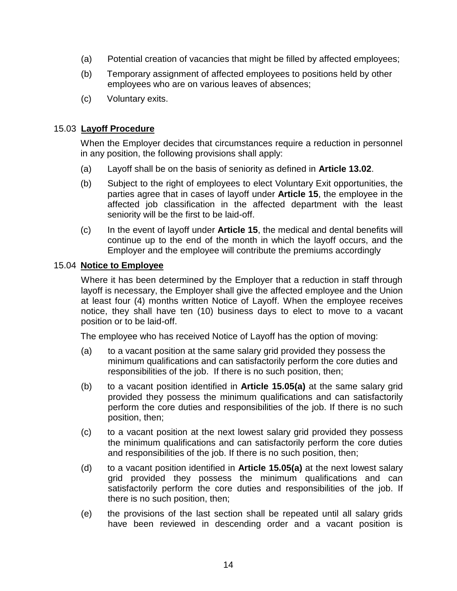- (a) Potential creation of vacancies that might be filled by affected employees;
- (b) Temporary assignment of affected employees to positions held by other employees who are on various leaves of absences;
- (c) Voluntary exits.

#### 15.03 **Layoff Procedure**

When the Employer decides that circumstances require a reduction in personnel in any position, the following provisions shall apply:

- (a) Layoff shall be on the basis of seniority as defined in **Article 13.02**.
- (b) Subject to the right of employees to elect Voluntary Exit opportunities, the parties agree that in cases of layoff under **Article 15**, the employee in the affected job classification in the affected department with the least seniority will be the first to be laid-off.
- (c) In the event of layoff under **Article 15**, the medical and dental benefits will continue up to the end of the month in which the layoff occurs, and the Employer and the employee will contribute the premiums accordingly

#### 15.04 **Notice to Employee**

Where it has been determined by the Employer that a reduction in staff through layoff is necessary, the Employer shall give the affected employee and the Union at least four (4) months written Notice of Layoff. When the employee receives notice, they shall have ten (10) business days to elect to move to a vacant position or to be laid-off.

The employee who has received Notice of Layoff has the option of moving:

- (a) to a vacant position at the same salary grid provided they possess the minimum qualifications and can satisfactorily perform the core duties and responsibilities of the job. If there is no such position, then;
- (b) to a vacant position identified in **Article 15.05(a)** at the same salary grid provided they possess the minimum qualifications and can satisfactorily perform the core duties and responsibilities of the job. If there is no such position, then;
- (c) to a vacant position at the next lowest salary grid provided they possess the minimum qualifications and can satisfactorily perform the core duties and responsibilities of the job. If there is no such position, then;
- (d) to a vacant position identified in **Article 15.05(a)** at the next lowest salary grid provided they possess the minimum qualifications and can satisfactorily perform the core duties and responsibilities of the job. If there is no such position, then;
- (e) the provisions of the last section shall be repeated until all salary grids have been reviewed in descending order and a vacant position is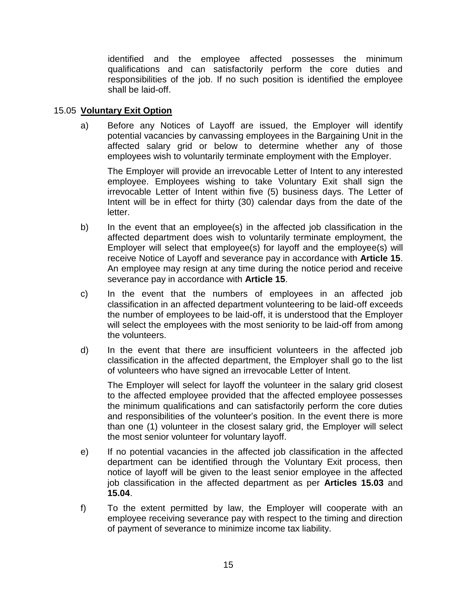identified and the employee affected possesses the minimum qualifications and can satisfactorily perform the core duties and responsibilities of the job. If no such position is identified the employee shall be laid-off.

#### 15.05 **Voluntary Exit Option**

a) Before any Notices of Layoff are issued, the Employer will identify potential vacancies by canvassing employees in the Bargaining Unit in the affected salary grid or below to determine whether any of those employees wish to voluntarily terminate employment with the Employer.

The Employer will provide an irrevocable Letter of Intent to any interested employee. Employees wishing to take Voluntary Exit shall sign the irrevocable Letter of Intent within five (5) business days. The Letter of Intent will be in effect for thirty (30) calendar days from the date of the letter.

- b) In the event that an employee(s) in the affected job classification in the affected department does wish to voluntarily terminate employment, the Employer will select that employee(s) for layoff and the employee(s) will receive Notice of Layoff and severance pay in accordance with **Article 15**. An employee may resign at any time during the notice period and receive severance pay in accordance with **Article 15**.
- c) In the event that the numbers of employees in an affected job classification in an affected department volunteering to be laid-off exceeds the number of employees to be laid-off, it is understood that the Employer will select the employees with the most seniority to be laid-off from among the volunteers.
- d) In the event that there are insufficient volunteers in the affected job classification in the affected department, the Employer shall go to the list of volunteers who have signed an irrevocable Letter of Intent.

The Employer will select for layoff the volunteer in the salary grid closest to the affected employee provided that the affected employee possesses the minimum qualifications and can satisfactorily perform the core duties and responsibilities of the volunteer's position. In the event there is more than one (1) volunteer in the closest salary grid, the Employer will select the most senior volunteer for voluntary layoff.

- e) If no potential vacancies in the affected job classification in the affected department can be identified through the Voluntary Exit process, then notice of layoff will be given to the least senior employee in the affected job classification in the affected department as per **Articles 15.03** and **15.04**.
- f) To the extent permitted by law, the Employer will cooperate with an employee receiving severance pay with respect to the timing and direction of payment of severance to minimize income tax liability.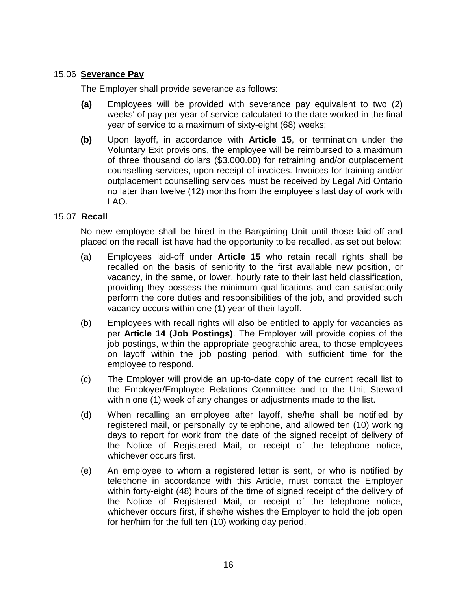#### 15.06 **Severance Pay**

The Employer shall provide severance as follows:

- **(a)** Employees will be provided with severance pay equivalent to two (2) weeks' of pay per year of service calculated to the date worked in the final year of service to a maximum of sixty-eight (68) weeks;
- **(b)** Upon layoff, in accordance with **Article 15**, or termination under the Voluntary Exit provisions, the employee will be reimbursed to a maximum of three thousand dollars (\$3,000.00) for retraining and/or outplacement counselling services, upon receipt of invoices. Invoices for training and/or outplacement counselling services must be received by Legal Aid Ontario no later than twelve (12) months from the employee's last day of work with LAO.

#### 15.07 **Recall**

No new employee shall be hired in the Bargaining Unit until those laid-off and placed on the recall list have had the opportunity to be recalled, as set out below:

- (a) Employees laid-off under **Article 15** who retain recall rights shall be recalled on the basis of seniority to the first available new position, or vacancy, in the same, or lower, hourly rate to their last held classification, providing they possess the minimum qualifications and can satisfactorily perform the core duties and responsibilities of the job, and provided such vacancy occurs within one (1) year of their layoff.
- (b) Employees with recall rights will also be entitled to apply for vacancies as per **Article 14 (Job Postings)**. The Employer will provide copies of the job postings, within the appropriate geographic area, to those employees on layoff within the job posting period, with sufficient time for the employee to respond.
- (c) The Employer will provide an up-to-date copy of the current recall list to the Employer/Employee Relations Committee and to the Unit Steward within one (1) week of any changes or adjustments made to the list.
- (d) When recalling an employee after layoff, she/he shall be notified by registered mail, or personally by telephone, and allowed ten (10) working days to report for work from the date of the signed receipt of delivery of the Notice of Registered Mail, or receipt of the telephone notice, whichever occurs first.
- (e) An employee to whom a registered letter is sent, or who is notified by telephone in accordance with this Article, must contact the Employer within forty-eight (48) hours of the time of signed receipt of the delivery of the Notice of Registered Mail, or receipt of the telephone notice, whichever occurs first, if she/he wishes the Employer to hold the job open for her/him for the full ten (10) working day period.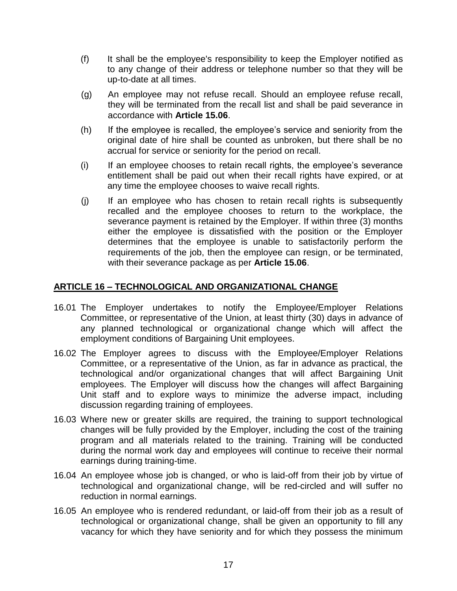- (f) It shall be the employee's responsibility to keep the Employer notified as to any change of their address or telephone number so that they will be up-to-date at all times.
- (g) An employee may not refuse recall. Should an employee refuse recall, they will be terminated from the recall list and shall be paid severance in accordance with **Article 15.06**.
- (h) If the employee is recalled, the employee's service and seniority from the original date of hire shall be counted as unbroken, but there shall be no accrual for service or seniority for the period on recall.
- (i) If an employee chooses to retain recall rights, the employee's severance entitlement shall be paid out when their recall rights have expired, or at any time the employee chooses to waive recall rights.
- (j) If an employee who has chosen to retain recall rights is subsequently recalled and the employee chooses to return to the workplace, the severance payment is retained by the Employer. If within three (3) months either the employee is dissatisfied with the position or the Employer determines that the employee is unable to satisfactorily perform the requirements of the job, then the employee can resign, or be terminated, with their severance package as per **Article 15.06**.

# **ARTICLE 16 – TECHNOLOGICAL AND ORGANIZATIONAL CHANGE**

- 16.01 The Employer undertakes to notify the Employee/Employer Relations Committee, or representative of the Union, at least thirty (30) days in advance of any planned technological or organizational change which will affect the employment conditions of Bargaining Unit employees.
- 16.02 The Employer agrees to discuss with the Employee/Employer Relations Committee, or a representative of the Union, as far in advance as practical, the technological and/or organizational changes that will affect Bargaining Unit employees. The Employer will discuss how the changes will affect Bargaining Unit staff and to explore ways to minimize the adverse impact, including discussion regarding training of employees.
- 16.03 Where new or greater skills are required, the training to support technological changes will be fully provided by the Employer, including the cost of the training program and all materials related to the training. Training will be conducted during the normal work day and employees will continue to receive their normal earnings during training-time.
- 16.04 An employee whose job is changed, or who is laid-off from their job by virtue of technological and organizational change, will be red-circled and will suffer no reduction in normal earnings.
- 16.05 An employee who is rendered redundant, or laid-off from their job as a result of technological or organizational change, shall be given an opportunity to fill any vacancy for which they have seniority and for which they possess the minimum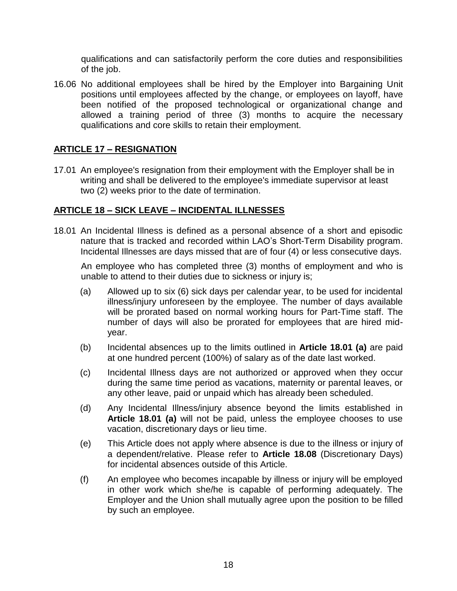qualifications and can satisfactorily perform the core duties and responsibilities of the job.

16.06 No additional employees shall be hired by the Employer into Bargaining Unit positions until employees affected by the change, or employees on layoff, have been notified of the proposed technological or organizational change and allowed a training period of three (3) months to acquire the necessary qualifications and core skills to retain their employment.

# **ARTICLE 17 – RESIGNATION**

17.01 An employee's resignation from their employment with the Employer shall be in writing and shall be delivered to the employee's immediate supervisor at least two (2) weeks prior to the date of termination.

#### **ARTICLE 18 – SICK LEAVE – INCIDENTAL ILLNESSES**

18.01 An Incidental Illness is defined as a personal absence of a short and episodic nature that is tracked and recorded within LAO's Short-Term Disability program. Incidental Illnesses are days missed that are of four (4) or less consecutive days.

An employee who has completed three (3) months of employment and who is unable to attend to their duties due to sickness or injury is;

- (a) Allowed up to six (6) sick days per calendar year, to be used for incidental illness/injury unforeseen by the employee. The number of days available will be prorated based on normal working hours for Part-Time staff. The number of days will also be prorated for employees that are hired midyear.
- (b) Incidental absences up to the limits outlined in **Article 18.01 (a)** are paid at one hundred percent (100%) of salary as of the date last worked.
- (c) Incidental Illness days are not authorized or approved when they occur during the same time period as vacations, maternity or parental leaves, or any other leave, paid or unpaid which has already been scheduled.
- (d) Any Incidental Illness/injury absence beyond the limits established in **Article 18.01 (a)** will not be paid, unless the employee chooses to use vacation, discretionary days or lieu time.
- (e) This Article does not apply where absence is due to the illness or injury of a dependent/relative. Please refer to **Article 18.08** (Discretionary Days) for incidental absences outside of this Article.
- (f) An employee who becomes incapable by illness or injury will be employed in other work which she/he is capable of performing adequately. The Employer and the Union shall mutually agree upon the position to be filled by such an employee.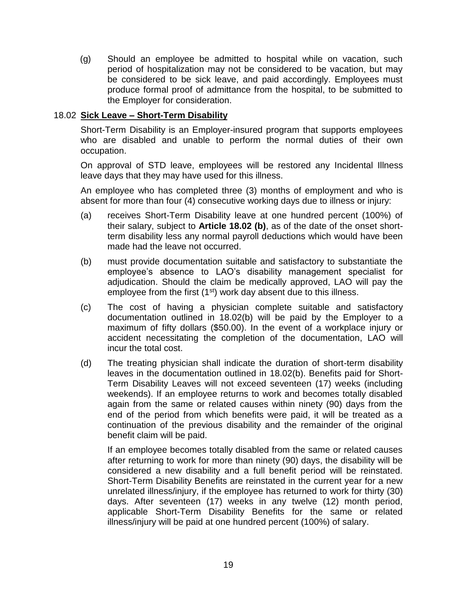(g) Should an employee be admitted to hospital while on vacation, such period of hospitalization may not be considered to be vacation, but may be considered to be sick leave, and paid accordingly. Employees must produce formal proof of admittance from the hospital, to be submitted to the Employer for consideration.

#### 18.02 **Sick Leave – Short-Term Disability**

Short-Term Disability is an Employer-insured program that supports employees who are disabled and unable to perform the normal duties of their own occupation.

On approval of STD leave, employees will be restored any Incidental Illness leave days that they may have used for this illness.

An employee who has completed three (3) months of employment and who is absent for more than four (4) consecutive working days due to illness or injury:

- (a) receives Short-Term Disability leave at one hundred percent (100%) of their salary, subject to **Article 18.02 (b)**, as of the date of the onset shortterm disability less any normal payroll deductions which would have been made had the leave not occurred.
- (b) must provide documentation suitable and satisfactory to substantiate the employee's absence to LAO's disability management specialist for adjudication. Should the claim be medically approved, LAO will pay the employee from the first  $(1<sup>st</sup>)$  work day absent due to this illness.
- (c) The cost of having a physician complete suitable and satisfactory documentation outlined in 18.02(b) will be paid by the Employer to a maximum of fifty dollars (\$50.00). In the event of a workplace injury or accident necessitating the completion of the documentation, LAO will incur the total cost.
- (d) The treating physician shall indicate the duration of short-term disability leaves in the documentation outlined in 18.02(b). Benefits paid for Short-Term Disability Leaves will not exceed seventeen (17) weeks (including weekends). If an employee returns to work and becomes totally disabled again from the same or related causes within ninety (90) days from the end of the period from which benefits were paid, it will be treated as a continuation of the previous disability and the remainder of the original benefit claim will be paid.

If an employee becomes totally disabled from the same or related causes after returning to work for more than ninety (90) days, the disability will be considered a new disability and a full benefit period will be reinstated. Short-Term Disability Benefits are reinstated in the current year for a new unrelated illness/injury, if the employee has returned to work for thirty (30) days. After seventeen (17) weeks in any twelve (12) month period, applicable Short-Term Disability Benefits for the same or related illness/injury will be paid at one hundred percent (100%) of salary.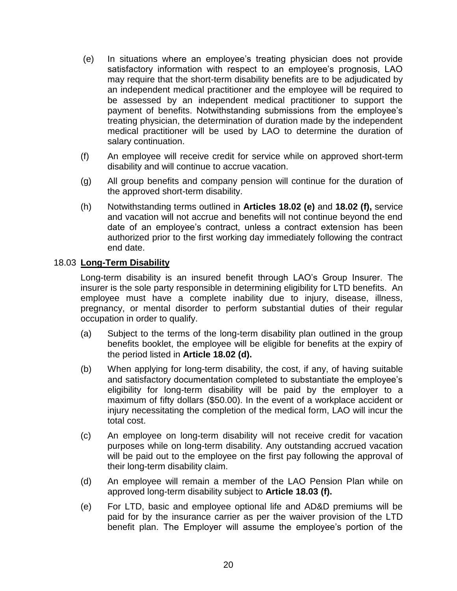- (e) In situations where an employee's treating physician does not provide satisfactory information with respect to an employee's prognosis, LAO may require that the short-term disability benefits are to be adjudicated by an independent medical practitioner and the employee will be required to be assessed by an independent medical practitioner to support the payment of benefits. Notwithstanding submissions from the employee's treating physician, the determination of duration made by the independent medical practitioner will be used by LAO to determine the duration of salary continuation.
- (f) An employee will receive credit for service while on approved short-term disability and will continue to accrue vacation.
- (g) All group benefits and company pension will continue for the duration of the approved short-term disability.
- (h) Notwithstanding terms outlined in **Articles 18.02 (e)** and **18.02 (f),** service and vacation will not accrue and benefits will not continue beyond the end date of an employee's contract, unless a contract extension has been authorized prior to the first working day immediately following the contract end date.

#### 18.03 **Long-Term Disability**

Long-term disability is an insured benefit through LAO's Group Insurer. The insurer is the sole party responsible in determining eligibility for LTD benefits. An employee must have a complete inability due to injury, disease, illness, pregnancy, or mental disorder to perform substantial duties of their regular occupation in order to qualify.

- (a) Subject to the terms of the long-term disability plan outlined in the group benefits booklet, the employee will be eligible for benefits at the expiry of the period listed in **Article 18.02 (d).**
- (b) When applying for long-term disability, the cost, if any, of having suitable and satisfactory documentation completed to substantiate the employee's eligibility for long-term disability will be paid by the employer to a maximum of fifty dollars (\$50.00). In the event of a workplace accident or injury necessitating the completion of the medical form, LAO will incur the total cost.
- (c) An employee on long-term disability will not receive credit for vacation purposes while on long-term disability. Any outstanding accrued vacation will be paid out to the employee on the first pay following the approval of their long-term disability claim.
- (d) An employee will remain a member of the LAO Pension Plan while on approved long-term disability subject to **Article 18.03 (f).**
- (e) For LTD, basic and employee optional life and AD&D premiums will be paid for by the insurance carrier as per the waiver provision of the LTD benefit plan. The Employer will assume the employee's portion of the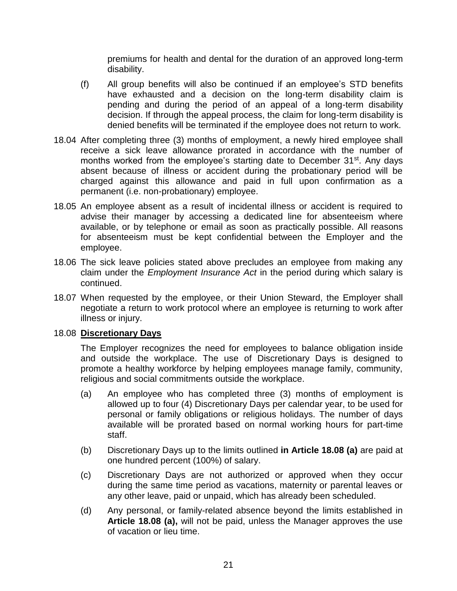premiums for health and dental for the duration of an approved long-term disability.

- (f) All group benefits will also be continued if an employee's STD benefits have exhausted and a decision on the long-term disability claim is pending and during the period of an appeal of a long-term disability decision. If through the appeal process, the claim for long-term disability is denied benefits will be terminated if the employee does not return to work.
- 18.04 After completing three (3) months of employment, a newly hired employee shall receive a sick leave allowance prorated in accordance with the number of months worked from the employee's starting date to December 31<sup>st</sup>. Any days absent because of illness or accident during the probationary period will be charged against this allowance and paid in full upon confirmation as a permanent (i.e. non-probationary) employee.
- 18.05 An employee absent as a result of incidental illness or accident is required to advise their manager by accessing a dedicated line for absenteeism where available, or by telephone or email as soon as practically possible. All reasons for absenteeism must be kept confidential between the Employer and the employee.
- 18.06 The sick leave policies stated above precludes an employee from making any claim under the *Employment Insurance Act* in the period during which salary is continued.
- 18.07 When requested by the employee, or their Union Steward, the Employer shall negotiate a return to work protocol where an employee is returning to work after illness or injury.

#### 18.08 **Discretionary Days**

The Employer recognizes the need for employees to balance obligation inside and outside the workplace. The use of Discretionary Days is designed to promote a healthy workforce by helping employees manage family, community, religious and social commitments outside the workplace.

- (a) An employee who has completed three (3) months of employment is allowed up to four (4) Discretionary Days per calendar year, to be used for personal or family obligations or religious holidays. The number of days available will be prorated based on normal working hours for part-time staff.
- (b) Discretionary Days up to the limits outlined **in Article 18.08 (a)** are paid at one hundred percent (100%) of salary.
- (c) Discretionary Days are not authorized or approved when they occur during the same time period as vacations, maternity or parental leaves or any other leave, paid or unpaid, which has already been scheduled.
- (d) Any personal, or family-related absence beyond the limits established in **Article 18.08 (a),** will not be paid, unless the Manager approves the use of vacation or lieu time.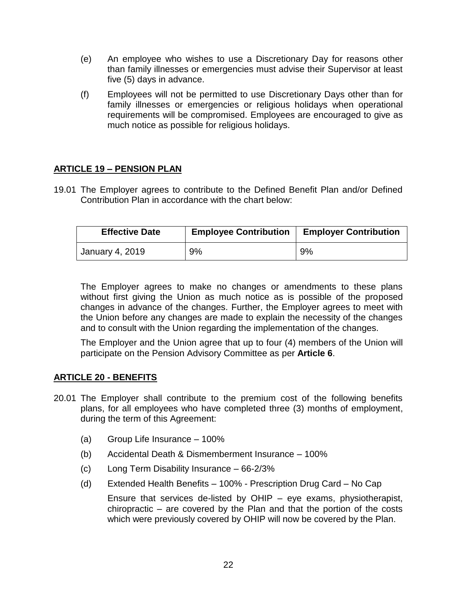- (e) An employee who wishes to use a Discretionary Day for reasons other than family illnesses or emergencies must advise their Supervisor at least five (5) days in advance.
- (f) Employees will not be permitted to use Discretionary Days other than for family illnesses or emergencies or religious holidays when operational requirements will be compromised. Employees are encouraged to give as much notice as possible for religious holidays.

# **ARTICLE 19 – PENSION PLAN**

19.01 The Employer agrees to contribute to the Defined Benefit Plan and/or Defined Contribution Plan in accordance with the chart below:

| <b>Effective Date</b> | <b>Employee Contribution</b> | <b>Employer Contribution</b> |
|-----------------------|------------------------------|------------------------------|
| January 4, 2019       | 9%                           | 9%                           |

The Employer agrees to make no changes or amendments to these plans without first giving the Union as much notice as is possible of the proposed changes in advance of the changes. Further, the Employer agrees to meet with the Union before any changes are made to explain the necessity of the changes and to consult with the Union regarding the implementation of the changes.

The Employer and the Union agree that up to four (4) members of the Union will participate on the Pension Advisory Committee as per **Article 6**.

#### **ARTICLE 20 - BENEFITS**

- 20.01 The Employer shall contribute to the premium cost of the following benefits plans, for all employees who have completed three (3) months of employment, during the term of this Agreement:
	- (a) Group Life Insurance 100%
	- (b) Accidental Death & Dismemberment Insurance 100%
	- (c) Long Term Disability Insurance 66-2/3%
	- (d) Extended Health Benefits 100% Prescription Drug Card No Cap

Ensure that services de-listed by OHIP – eye exams, physiotherapist, chiropractic – are covered by the Plan and that the portion of the costs which were previously covered by OHIP will now be covered by the Plan.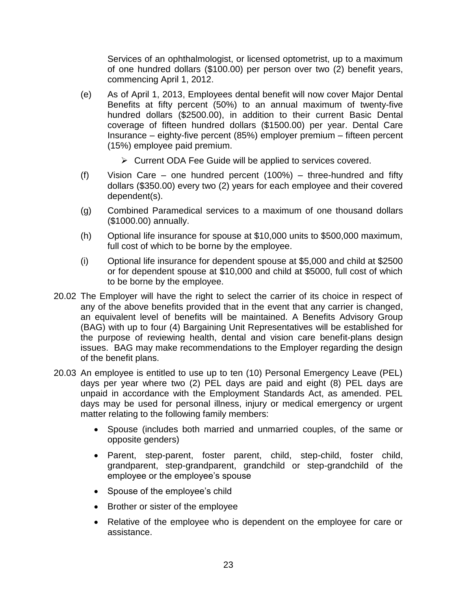Services of an ophthalmologist, or licensed optometrist, up to a maximum of one hundred dollars (\$100.00) per person over two (2) benefit years, commencing April 1, 2012.

- (e) As of April 1, 2013, Employees dental benefit will now cover Major Dental Benefits at fifty percent (50%) to an annual maximum of twenty-five hundred dollars (\$2500.00), in addition to their current Basic Dental coverage of fifteen hundred dollars (\$1500.00) per year. Dental Care Insurance – eighty-five percent (85%) employer premium – fifteen percent (15%) employee paid premium.
	- $\triangleright$  Current ODA Fee Guide will be applied to services covered.
- (f) Vision Care one hundred percent (100%) three-hundred and fifty dollars (\$350.00) every two (2) years for each employee and their covered dependent(s).
- (g) Combined Paramedical services to a maximum of one thousand dollars (\$1000.00) annually.
- (h) Optional life insurance for spouse at \$10,000 units to \$500,000 maximum, full cost of which to be borne by the employee.
- (i) Optional life insurance for dependent spouse at \$5,000 and child at \$2500 or for dependent spouse at \$10,000 and child at \$5000, full cost of which to be borne by the employee.
- 20.02 The Employer will have the right to select the carrier of its choice in respect of any of the above benefits provided that in the event that any carrier is changed, an equivalent level of benefits will be maintained. A Benefits Advisory Group (BAG) with up to four (4) Bargaining Unit Representatives will be established for the purpose of reviewing health, dental and vision care benefit-plans design issues. BAG may make recommendations to the Employer regarding the design of the benefit plans.
- 20.03 An employee is entitled to use up to ten (10) Personal Emergency Leave (PEL) days per year where two (2) PEL days are paid and eight (8) PEL days are unpaid in accordance with the Employment Standards Act, as amended. PEL days may be used for personal illness, injury or medical emergency or urgent matter relating to the following family members:
	- Spouse (includes both married and unmarried couples, of the same or opposite genders)
	- Parent, step-parent, foster parent, child, step-child, foster child, grandparent, step-grandparent, grandchild or step-grandchild of the employee or the employee's spouse
	- Spouse of the employee's child
	- Brother or sister of the employee
	- Relative of the employee who is dependent on the employee for care or assistance.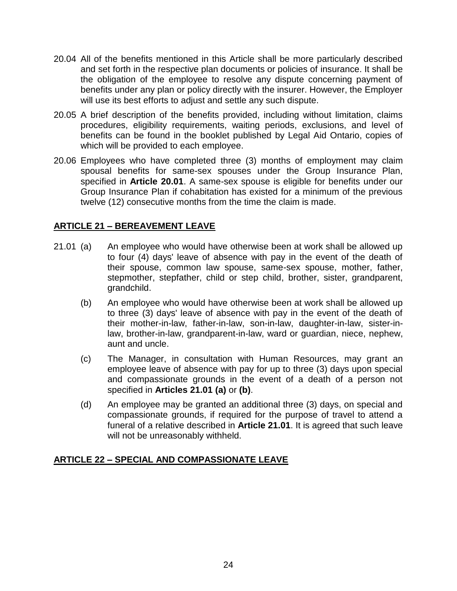- 20.04 All of the benefits mentioned in this Article shall be more particularly described and set forth in the respective plan documents or policies of insurance. It shall be the obligation of the employee to resolve any dispute concerning payment of benefits under any plan or policy directly with the insurer. However, the Employer will use its best efforts to adjust and settle any such dispute.
- 20.05 A brief description of the benefits provided, including without limitation, claims procedures, eligibility requirements, waiting periods, exclusions, and level of benefits can be found in the booklet published by Legal Aid Ontario, copies of which will be provided to each employee.
- 20.06 Employees who have completed three (3) months of employment may claim spousal benefits for same-sex spouses under the Group Insurance Plan, specified in **Article 20.01**. A same-sex spouse is eligible for benefits under our Group Insurance Plan if cohabitation has existed for a minimum of the previous twelve (12) consecutive months from the time the claim is made.

# **ARTICLE 21 – BEREAVEMENT LEAVE**

- 21.01 (a) An employee who would have otherwise been at work shall be allowed up to four (4) days' leave of absence with pay in the event of the death of their spouse, common law spouse, same-sex spouse, mother, father, stepmother, stepfather, child or step child, brother, sister, grandparent, grandchild.
	- (b) An employee who would have otherwise been at work shall be allowed up to three (3) days' leave of absence with pay in the event of the death of their mother-in-law, father-in-law, son-in-law, daughter-in-law, sister-inlaw, brother-in-law, grandparent-in-law, ward or guardian, niece, nephew, aunt and uncle.
	- (c) The Manager, in consultation with Human Resources, may grant an employee leave of absence with pay for up to three (3) days upon special and compassionate grounds in the event of a death of a person not specified in **Articles 21.01 (a)** or **(b)**.
	- (d) An employee may be granted an additional three (3) days, on special and compassionate grounds, if required for the purpose of travel to attend a funeral of a relative described in **Article 21.01**. It is agreed that such leave will not be unreasonably withheld.

# **ARTICLE 22 – SPECIAL AND COMPASSIONATE LEAVE**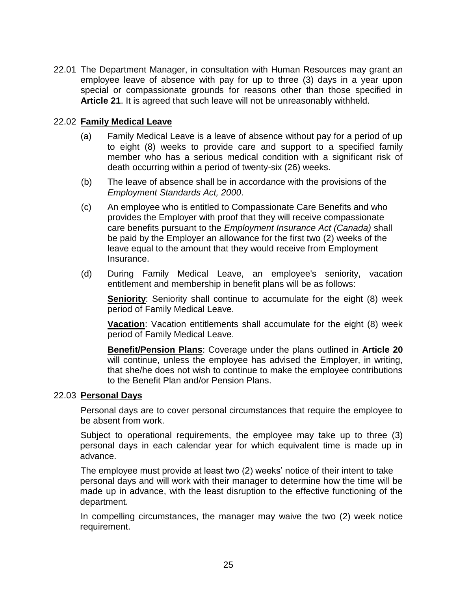22.01 The Department Manager, in consultation with Human Resources may grant an employee leave of absence with pay for up to three (3) days in a year upon special or compassionate grounds for reasons other than those specified in **Article 21**. It is agreed that such leave will not be unreasonably withheld.

#### 22.02 **Family Medical Leave**

- (a) Family Medical Leave is a leave of absence without pay for a period of up to eight (8) weeks to provide care and support to a specified family member who has a serious medical condition with a significant risk of death occurring within a period of twenty-six (26) weeks.
- (b) The leave of absence shall be in accordance with the provisions of the *Employment Standards Act, 2000*.
- (c) An employee who is entitled to Compassionate Care Benefits and who provides the Employer with proof that they will receive compassionate care benefits pursuant to the *Employment Insurance Act (Canada)* shall be paid by the Employer an allowance for the first two (2) weeks of the leave equal to the amount that they would receive from Employment Insurance.
- (d) During Family Medical Leave, an employee's seniority, vacation entitlement and membership in benefit plans will be as follows:

**Seniority**: Seniority shall continue to accumulate for the eight (8) week period of Family Medical Leave.

**Vacation**: Vacation entitlements shall accumulate for the eight (8) week period of Family Medical Leave.

**Benefit/Pension Plans**: Coverage under the plans outlined in **Article 20** will continue, unless the employee has advised the Employer, in writing, that she/he does not wish to continue to make the employee contributions to the Benefit Plan and/or Pension Plans.

#### 22.03 **Personal Days**

Personal days are to cover personal circumstances that require the employee to be absent from work.

Subject to operational requirements, the employee may take up to three (3) personal days in each calendar year for which equivalent time is made up in advance.

The employee must provide at least two (2) weeks' notice of their intent to take personal days and will work with their manager to determine how the time will be made up in advance, with the least disruption to the effective functioning of the department.

In compelling circumstances, the manager may waive the two (2) week notice requirement.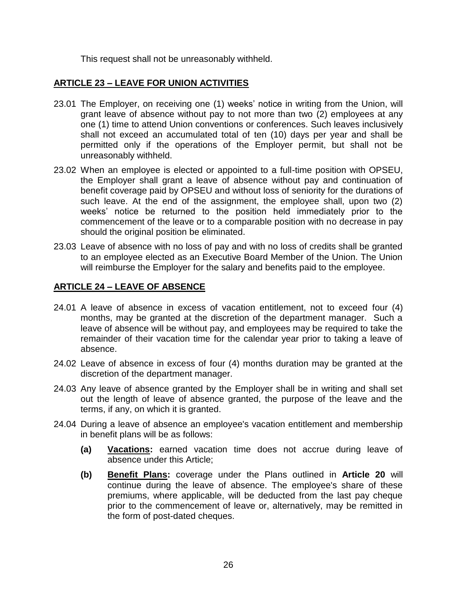This request shall not be unreasonably withheld.

# **ARTICLE 23 – LEAVE FOR UNION ACTIVITIES**

- 23.01 The Employer, on receiving one (1) weeks' notice in writing from the Union, will grant leave of absence without pay to not more than two (2) employees at any one (1) time to attend Union conventions or conferences. Such leaves inclusively shall not exceed an accumulated total of ten (10) days per year and shall be permitted only if the operations of the Employer permit, but shall not be unreasonably withheld.
- 23.02 When an employee is elected or appointed to a full-time position with OPSEU, the Employer shall grant a leave of absence without pay and continuation of benefit coverage paid by OPSEU and without loss of seniority for the durations of such leave. At the end of the assignment, the employee shall, upon two (2) weeks' notice be returned to the position held immediately prior to the commencement of the leave or to a comparable position with no decrease in pay should the original position be eliminated.
- 23.03 Leave of absence with no loss of pay and with no loss of credits shall be granted to an employee elected as an Executive Board Member of the Union. The Union will reimburse the Employer for the salary and benefits paid to the employee.

# **ARTICLE 24 – LEAVE OF ABSENCE**

- 24.01 A leave of absence in excess of vacation entitlement, not to exceed four (4) months, may be granted at the discretion of the department manager. Such a leave of absence will be without pay, and employees may be required to take the remainder of their vacation time for the calendar year prior to taking a leave of absence.
- 24.02 Leave of absence in excess of four (4) months duration may be granted at the discretion of the department manager.
- 24.03 Any leave of absence granted by the Employer shall be in writing and shall set out the length of leave of absence granted, the purpose of the leave and the terms, if any, on which it is granted.
- 24.04 During a leave of absence an employee's vacation entitlement and membership in benefit plans will be as follows:
	- **(a) Vacations:** earned vacation time does not accrue during leave of absence under this Article;
	- **(b) Benefit Plans:** coverage under the Plans outlined in **Article 20** will continue during the leave of absence. The employee's share of these premiums, where applicable, will be deducted from the last pay cheque prior to the commencement of leave or, alternatively, may be remitted in the form of post-dated cheques.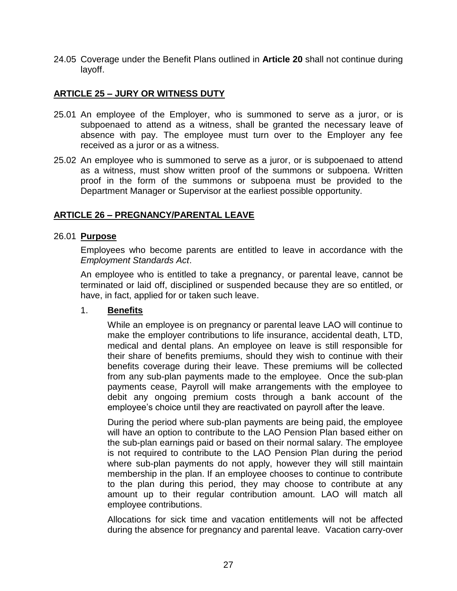24.05 Coverage under the Benefit Plans outlined in **Article 20** shall not continue during layoff.

#### **ARTICLE 25 – JURY OR WITNESS DUTY**

- 25.01 An employee of the Employer, who is summoned to serve as a juror, or is subpoenaed to attend as a witness, shall be granted the necessary leave of absence with pay. The employee must turn over to the Employer any fee received as a juror or as a witness.
- 25.02 An employee who is summoned to serve as a juror, or is subpoenaed to attend as a witness, must show written proof of the summons or subpoena. Written proof in the form of the summons or subpoena must be provided to the Department Manager or Supervisor at the earliest possible opportunity.

#### **ARTICLE 26 – PREGNANCY/PARENTAL LEAVE**

#### 26.01 **Purpose**

Employees who become parents are entitled to leave in accordance with the *Employment Standards Act*.

An employee who is entitled to take a pregnancy, or parental leave, cannot be terminated or laid off, disciplined or suspended because they are so entitled, or have, in fact, applied for or taken such leave.

#### 1. **Benefits**

While an employee is on pregnancy or parental leave LAO will continue to make the employer contributions to life insurance, accidental death, LTD, medical and dental plans. An employee on leave is still responsible for their share of benefits premiums, should they wish to continue with their benefits coverage during their leave. These premiums will be collected from any sub-plan payments made to the employee. Once the sub-plan payments cease, Payroll will make arrangements with the employee to debit any ongoing premium costs through a bank account of the employee's choice until they are reactivated on payroll after the leave.

During the period where sub-plan payments are being paid, the employee will have an option to contribute to the LAO Pension Plan based either on the sub-plan earnings paid or based on their normal salary. The employee is not required to contribute to the LAO Pension Plan during the period where sub-plan payments do not apply, however they will still maintain membership in the plan. If an employee chooses to continue to contribute to the plan during this period, they may choose to contribute at any amount up to their regular contribution amount. LAO will match all employee contributions.

Allocations for sick time and vacation entitlements will not be affected during the absence for pregnancy and parental leave. Vacation carry-over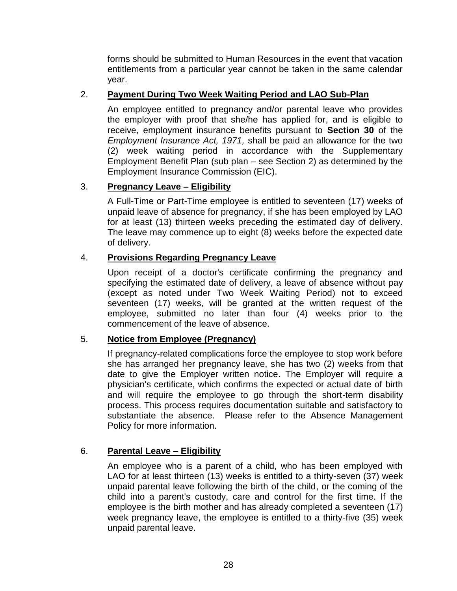forms should be submitted to Human Resources in the event that vacation entitlements from a particular year cannot be taken in the same calendar year.

# 2. **Payment During Two Week Waiting Period and LAO Sub-Plan**

An employee entitled to pregnancy and/or parental leave who provides the employer with proof that she/he has applied for, and is eligible to receive, employment insurance benefits pursuant to **Section 30** of the *Employment Insurance Act, 1971,* shall be paid an allowance for the two (2) week waiting period in accordance with the Supplementary Employment Benefit Plan (sub plan – see Section 2) as determined by the Employment Insurance Commission (EIC).

# 3. **Pregnancy Leave – Eligibility**

A Full-Time or Part-Time employee is entitled to seventeen (17) weeks of unpaid leave of absence for pregnancy, if she has been employed by LAO for at least (13) thirteen weeks preceding the estimated day of delivery. The leave may commence up to eight (8) weeks before the expected date of delivery.

# 4. **Provisions Regarding Pregnancy Leave**

Upon receipt of a doctor's certificate confirming the pregnancy and specifying the estimated date of delivery, a leave of absence without pay (except as noted under [Two Week Waiting Period\)](http://thesource/Human_Resources/HR_Policies/parentalleave.asp?printable=1) not to exceed seventeen (17) weeks, will be granted at the written request of the employee, submitted no later than four (4) weeks prior to the commencement of the leave of absence.

# 5. **Notice from Employee (Pregnancy)**

If pregnancy-related complications force the employee to stop work before she has arranged her pregnancy leave, she has two (2) weeks from that date to give the Employer written notice. The Employer will require a physician's certificate, which confirms the expected or actual date of birth and will require the employee to go through the short-term disability process. This process requires documentation suitable and satisfactory to substantiate the absence. Please refer to the [Absence Management](http://thesource.lao.on.ca/Human_Resources/HR_Policies/absencemanagement.asp#Absence Management Policy)  [Policy](http://thesource.lao.on.ca/Human_Resources/HR_Policies/absencemanagement.asp#Absence Management Policy) for more information.

# 6. **Parental Leave – Eligibility**

An employee who is a parent of a child, who has been employed with LAO for at least thirteen (13) weeks is entitled to a thirty-seven (37) week unpaid parental leave following the birth of the child, or the coming of the child into a parent's custody, care and control for the first time. If the employee is the birth mother and has already completed a seventeen (17) week pregnancy leave, the employee is entitled to a thirty-five (35) week unpaid parental leave.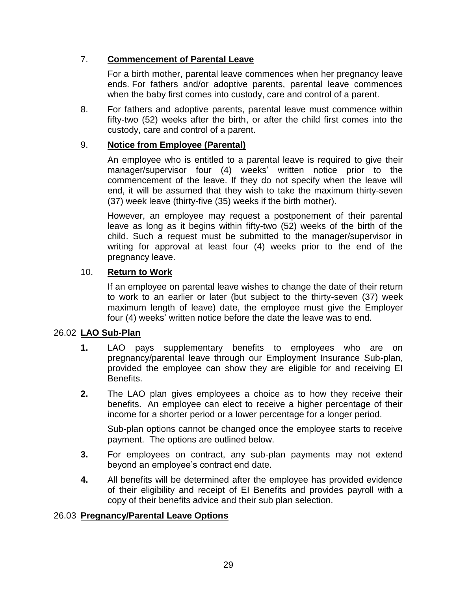# 7. **Commencement of Parental Leave**

For a birth mother, parental leave commences when her pregnancy leave ends. For fathers and/or adoptive parents, parental leave commences when the baby first comes into custody, care and control of a parent.

8. For fathers and adoptive parents, parental leave must commence within fifty-two (52) weeks after the birth, or after the child first comes into the custody, care and control of a parent.

# 9. **Notice from Employee (Parental)**

An employee who is entitled to a parental leave is required to give their manager/supervisor four (4) weeks' written notice prior to the commencement of the leave. If they do not specify when the leave will end, it will be assumed that they wish to take the maximum thirty-seven (37) week leave (thirty-five (35) weeks if the birth mother).

However, an employee may request a postponement of their parental leave as long as it begins within fifty-two (52) weeks of the birth of the child. Such a request must be submitted to the manager/supervisor in writing for approval at least four (4) weeks prior to the end of the pregnancy leave.

# 10. **Return to Work**

If an employee on parental leave wishes to change the date of their return to work to an earlier or later (but subject to the thirty-seven (37) week maximum length of leave) date, the employee must give the Employer four (4) weeks' written notice before the date the leave was to end.

# 26.02 **LAO Sub-Plan**

- **1.** LAO pays supplementary benefits to employees who are on pregnancy/parental leave through our Employment Insurance Sub-plan, provided the employee can show they are eligible for and receiving EI Benefits.
- **2.** The LAO plan gives employees a choice as to how they receive their benefits. An employee can elect to receive a higher percentage of their income for a shorter period or a lower percentage for a longer period.

Sub-plan options cannot be changed once the employee starts to receive payment. The options are outlined below.

- **3.** For employees on contract, any sub-plan payments may not extend beyond an employee's contract end date.
- **4.** All benefits will be determined after the employee has provided evidence of their eligibility and receipt of EI Benefits and provides payroll with a copy of their benefits advice and their sub plan selection.

# 26.03 **Pregnancy/Parental Leave Options**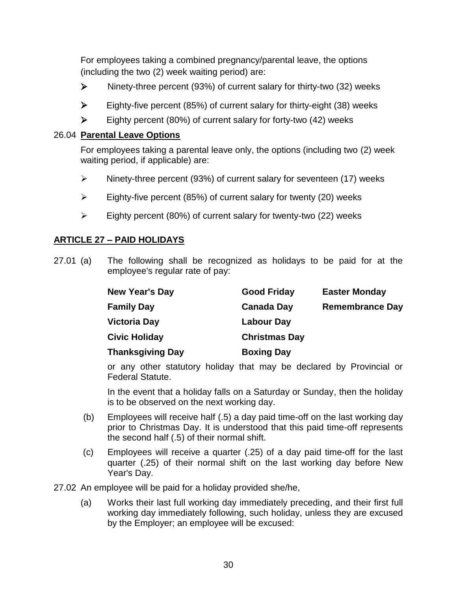For employees taking a combined pregnancy/parental leave, the options (including the two (2) week waiting period) are:

- $\triangleright$  Ninety-three percent (93%) of current salary for thirty-two (32) weeks
- $\triangleright$  Eighty-five percent (85%) of current salary for thirty-eight (38) weeks
- $\triangleright$  Eighty percent (80%) of current salary for forty-two (42) weeks

#### 26.04 **Parental Leave Options**

For employees taking a parental leave only, the options (including two (2) week waiting period, if applicable) are:

- $\triangleright$  Ninety-three percent (93%) of current salary for seventeen (17) weeks
- $\triangleright$  Eighty-five percent (85%) of current salary for twenty (20) weeks
- $\triangleright$  Eighty percent (80%) of current salary for twenty-two (22) weeks

# **ARTICLE 27 – PAID HOLIDAYS**

27.01 (a) The following shall be recognized as holidays to be paid for at the employee's regular rate of pay:

| New Year's Day          | <b>Good Friday</b>   | <b>Easter Monday</b>   |
|-------------------------|----------------------|------------------------|
| <b>Family Day</b>       | Canada Day           | <b>Remembrance Day</b> |
| <b>Victoria Day</b>     | <b>Labour Day</b>    |                        |
| <b>Civic Holiday</b>    | <b>Christmas Day</b> |                        |
| <b>Thanksgiving Day</b> | <b>Boxing Day</b>    |                        |

or any other statutory holiday that may be declared by Provincial or Federal Statute.

In the event that a holiday falls on a Saturday or Sunday, then the holiday is to be observed on the next working day.

- (b) Employees will receive half (.5) a day paid time-off on the last working day prior to Christmas Day. It is understood that this paid time-off represents the second half (.5) of their normal shift.
- (c) Employees will receive a quarter (.25) of a day paid time-off for the last quarter (.25) of their normal shift on the last working day before New Year's Day.

27.02 An employee will be paid for a holiday provided she/he,

(a) Works their last full working day immediately preceding, and their first full working day immediately following, such holiday, unless they are excused by the Employer; an employee will be excused: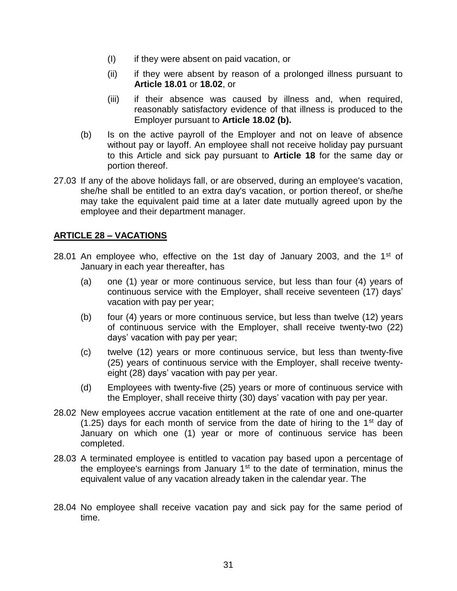- (I) if they were absent on paid vacation, or
- (ii) if they were absent by reason of a prolonged illness pursuant to **Article 18.01** or **18.02**, or
- (iii) if their absence was caused by illness and, when required, reasonably satisfactory evidence of that illness is produced to the Employer pursuant to **Article 18.02 (b).**
- (b) Is on the active payroll of the Employer and not on leave of absence without pay or layoff. An employee shall not receive holiday pay pursuant to this Article and sick pay pursuant to **Article 18** for the same day or portion thereof.
- 27.03 If any of the above holidays fall, or are observed, during an employee's vacation, she/he shall be entitled to an extra day's vacation, or portion thereof, or she/he may take the equivalent paid time at a later date mutually agreed upon by the employee and their department manager.

# **ARTICLE 28 – VACATIONS**

- 28.01 An employee who, effective on the 1st day of January 2003, and the  $1<sup>st</sup>$  of January in each year thereafter, has
	- (a) one (1) year or more continuous service, but less than four (4) years of continuous service with the Employer, shall receive seventeen (17) days' vacation with pay per year;
	- (b) four (4) years or more continuous service, but less than twelve (12) years of continuous service with the Employer, shall receive twenty-two (22) days' vacation with pay per year;
	- (c) twelve (12) years or more continuous service, but less than twenty-five (25) years of continuous service with the Employer, shall receive twentyeight (28) days' vacation with pay per year.
	- (d) Employees with twenty-five (25) years or more of continuous service with the Employer, shall receive thirty (30) days' vacation with pay per year.
- 28.02 New employees accrue vacation entitlement at the rate of one and one-quarter (1.25) days for each month of service from the date of hiring to the  $1<sup>st</sup>$  day of January on which one (1) year or more of continuous service has been completed.
- 28.03 A terminated employee is entitled to vacation pay based upon a percentage of the employee's earnings from January  $1<sup>st</sup>$  to the date of termination, minus the equivalent value of any vacation already taken in the calendar year. The
- 28.04 No employee shall receive vacation pay and sick pay for the same period of time.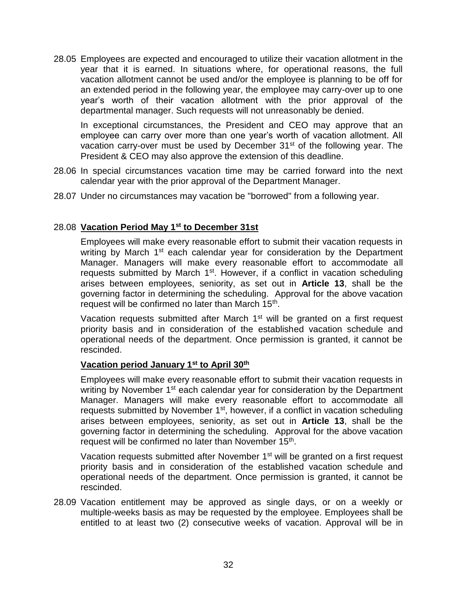28.05 Employees are expected and encouraged to utilize their vacation allotment in the year that it is earned. In situations where, for operational reasons, the full vacation allotment cannot be used and/or the employee is planning to be off for an extended period in the following year, the employee may carry-over up to one year's worth of their vacation allotment with the prior approval of the departmental manager. Such requests will not unreasonably be denied.

In exceptional circumstances, the President and CEO may approve that an employee can carry over more than one year's worth of vacation allotment. All vacation carry-over must be used by December 31<sup>st</sup> of the following year. The President & CEO may also approve the extension of this deadline.

- 28.06 In special circumstances vacation time may be carried forward into the next calendar year with the prior approval of the Department Manager.
- 28.07 Under no circumstances may vacation be "borrowed" from a following year.

#### 28.08 **Vacation Period May 1st to December 31st**

Employees will make every reasonable effort to submit their vacation requests in writing by March 1<sup>st</sup> each calendar year for consideration by the Department Manager. Managers will make every reasonable effort to accommodate all requests submitted by March 1<sup>st</sup>. However, if a conflict in vacation scheduling arises between employees, seniority, as set out in **Article 13**, shall be the governing factor in determining the scheduling. Approval for the above vacation request will be confirmed no later than March 15<sup>th</sup>.

Vacation requests submitted after March 1<sup>st</sup> will be granted on a first request priority basis and in consideration of the established vacation schedule and operational needs of the department. Once permission is granted, it cannot be rescinded.

#### **Vacation period January 1st to April 30th**

Employees will make every reasonable effort to submit their vacation requests in writing by November 1<sup>st</sup> each calendar year for consideration by the Department Manager. Managers will make every reasonable effort to accommodate all requests submitted by November 1<sup>st</sup>, however, if a conflict in vacation scheduling arises between employees, seniority, as set out in **Article 13**, shall be the governing factor in determining the scheduling. Approval for the above vacation request will be confirmed no later than November 15<sup>th</sup>.

Vacation requests submitted after November 1<sup>st</sup> will be granted on a first request priority basis and in consideration of the established vacation schedule and operational needs of the department. Once permission is granted, it cannot be rescinded.

28.09 Vacation entitlement may be approved as single days, or on a weekly or multiple-weeks basis as may be requested by the employee. Employees shall be entitled to at least two (2) consecutive weeks of vacation. Approval will be in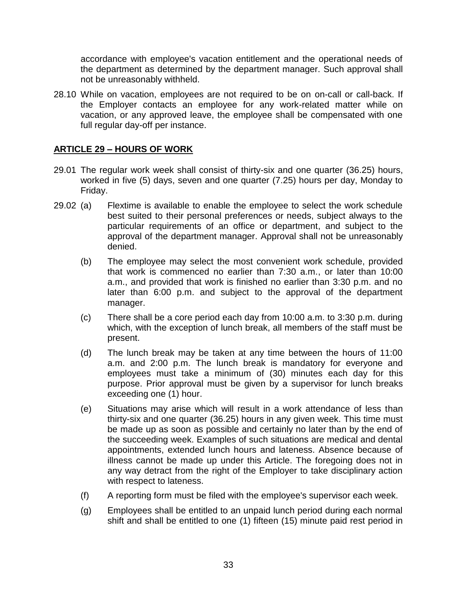accordance with employee's vacation entitlement and the operational needs of the department as determined by the department manager. Such approval shall not be unreasonably withheld.

28.10 While on vacation, employees are not required to be on on-call or call-back. If the Employer contacts an employee for any work-related matter while on vacation, or any approved leave, the employee shall be compensated with one full regular day-off per instance.

# **ARTICLE 29 – HOURS OF WORK**

- 29.01 The regular work week shall consist of thirty-six and one quarter (36.25) hours, worked in five (5) days, seven and one quarter (7.25) hours per day, Monday to Friday.
- 29.02 (a) Flextime is available to enable the employee to select the work schedule best suited to their personal preferences or needs, subject always to the particular requirements of an office or department, and subject to the approval of the department manager. Approval shall not be unreasonably denied.
	- (b) The employee may select the most convenient work schedule, provided that work is commenced no earlier than 7:30 a.m., or later than 10:00 a.m., and provided that work is finished no earlier than 3:30 p.m. and no later than 6:00 p.m. and subject to the approval of the department manager.
	- (c) There shall be a core period each day from 10:00 a.m. to 3:30 p.m. during which, with the exception of lunch break, all members of the staff must be present.
	- (d) The lunch break may be taken at any time between the hours of 11:00 a.m. and 2:00 p.m. The lunch break is mandatory for everyone and employees must take a minimum of (30) minutes each day for this purpose. Prior approval must be given by a supervisor for lunch breaks exceeding one (1) hour.
	- (e) Situations may arise which will result in a work attendance of less than thirty-six and one quarter (36.25) hours in any given week. This time must be made up as soon as possible and certainly no later than by the end of the succeeding week. Examples of such situations are medical and dental appointments, extended lunch hours and lateness. Absence because of illness cannot be made up under this Article. The foregoing does not in any way detract from the right of the Employer to take disciplinary action with respect to lateness.
	- (f) A reporting form must be filed with the employee's supervisor each week.
	- (g) Employees shall be entitled to an unpaid lunch period during each normal shift and shall be entitled to one (1) fifteen (15) minute paid rest period in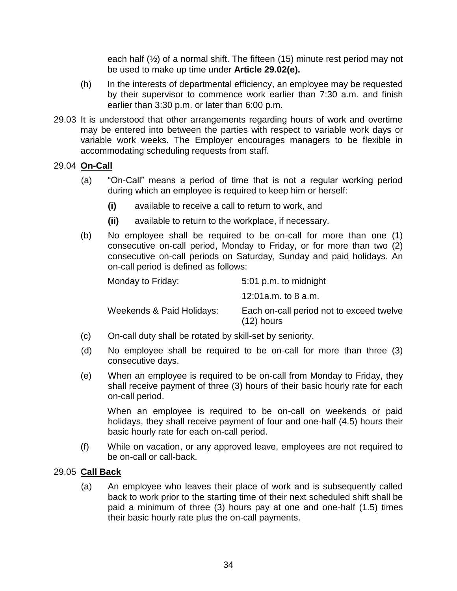each half (½) of a normal shift. The fifteen (15) minute rest period may not be used to make up time under **Article 29.02(e).**

- (h) In the interests of departmental efficiency, an employee may be requested by their supervisor to commence work earlier than 7:30 a.m. and finish earlier than 3:30 p.m. or later than 6:00 p.m.
- 29.03 It is understood that other arrangements regarding hours of work and overtime may be entered into between the parties with respect to variable work days or variable work weeks. The Employer encourages managers to be flexible in accommodating scheduling requests from staff.

#### 29.04 **On-Call**

- (a) "On-Call" means a period of time that is not a regular working period during which an employee is required to keep him or herself:
	- **(i)** available to receive a call to return to work, and
	- **(ii)** available to return to the workplace, if necessary.
- (b) No employee shall be required to be on-call for more than one (1) consecutive on-call period, Monday to Friday, or for more than two (2) consecutive on-call periods on Saturday, Sunday and paid holidays. An on-call period is defined as follows:

| Monday to Friday:         | 5:01 p.m. to midnight                                    |
|---------------------------|----------------------------------------------------------|
|                           | 12:01a.m. to 8 a.m.                                      |
| Weekends & Paid Holidays: | Each on-call period not to exceed twelve<br>$(12)$ hours |

- (c) On-call duty shall be rotated by skill-set by seniority.
- (d) No employee shall be required to be on-call for more than three (3) consecutive days.
- (e) When an employee is required to be on-call from Monday to Friday, they shall receive payment of three (3) hours of their basic hourly rate for each on-call period.

When an employee is required to be on-call on weekends or paid holidays, they shall receive payment of four and one-half (4.5) hours their basic hourly rate for each on-call period.

(f) While on vacation, or any approved leave, employees are not required to be on-call or call-back.

#### 29.05 **Call Back**

(a) An employee who leaves their place of work and is subsequently called back to work prior to the starting time of their next scheduled shift shall be paid a minimum of three (3) hours pay at one and one-half (1.5) times their basic hourly rate plus the on-call payments.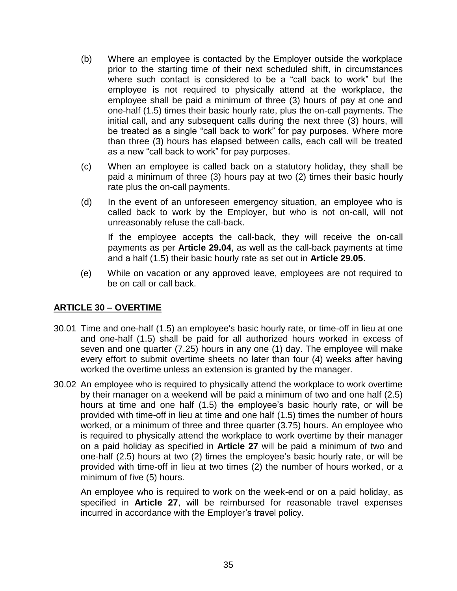- (b) Where an employee is contacted by the Employer outside the workplace prior to the starting time of their next scheduled shift, in circumstances where such contact is considered to be a "call back to work" but the employee is not required to physically attend at the workplace, the employee shall be paid a minimum of three (3) hours of pay at one and one-half (1.5) times their basic hourly rate, plus the on-call payments. The initial call, and any subsequent calls during the next three (3) hours, will be treated as a single "call back to work" for pay purposes. Where more than three (3) hours has elapsed between calls, each call will be treated as a new "call back to work" for pay purposes.
- (c) When an employee is called back on a statutory holiday, they shall be paid a minimum of three (3) hours pay at two (2) times their basic hourly rate plus the on-call payments.
- (d) In the event of an unforeseen emergency situation, an employee who is called back to work by the Employer, but who is not on-call, will not unreasonably refuse the call-back.

If the employee accepts the call-back, they will receive the on-call payments as per **Article 29.04**, as well as the call-back payments at time and a half (1.5) their basic hourly rate as set out in **Article 29.05**.

(e) While on vacation or any approved leave, employees are not required to be on call or call back.

# **ARTICLE 30 – OVERTIME**

- 30.01 Time and one-half (1.5) an employee's basic hourly rate, or time-off in lieu at one and one-half (1.5) shall be paid for all authorized hours worked in excess of seven and one quarter (7.25) hours in any one (1) day. The employee will make every effort to submit overtime sheets no later than four (4) weeks after having worked the overtime unless an extension is granted by the manager.
- 30.02 An employee who is required to physically attend the workplace to work overtime by their manager on a weekend will be paid a minimum of two and one half (2.5) hours at time and one half (1.5) the employee's basic hourly rate, or will be provided with time-off in lieu at time and one half (1.5) times the number of hours worked, or a minimum of three and three quarter (3.75) hours. An employee who is required to physically attend the workplace to work overtime by their manager on a paid holiday as specified in **Article 27** will be paid a minimum of two and one-half (2.5) hours at two (2) times the employee's basic hourly rate, or will be provided with time-off in lieu at two times (2) the number of hours worked, or a minimum of five (5) hours.

An employee who is required to work on the week-end or on a paid holiday, as specified in **Article 27**, will be reimbursed for reasonable travel expenses incurred in accordance with the Employer's travel policy.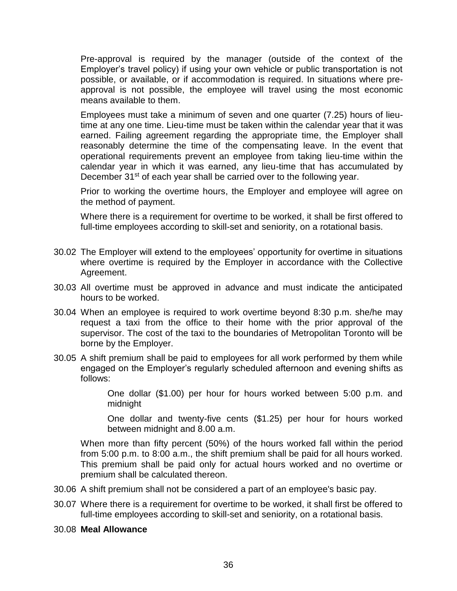Pre-approval is required by the manager (outside of the context of the Employer's travel policy) if using your own vehicle or public transportation is not possible, or available, or if accommodation is required. In situations where preapproval is not possible, the employee will travel using the most economic means available to them.

Employees must take a minimum of seven and one quarter (7.25) hours of lieutime at any one time. Lieu-time must be taken within the calendar year that it was earned. Failing agreement regarding the appropriate time, the Employer shall reasonably determine the time of the compensating leave. In the event that operational requirements prevent an employee from taking lieu-time within the calendar year in which it was earned, any lieu-time that has accumulated by December 31<sup>st</sup> of each year shall be carried over to the following year.

Prior to working the overtime hours, the Employer and employee will agree on the method of payment.

Where there is a requirement for overtime to be worked, it shall be first offered to full-time employees according to skill-set and seniority, on a rotational basis.

- 30.02 The Employer will extend to the employees' opportunity for overtime in situations where overtime is required by the Employer in accordance with the Collective Agreement.
- 30.03 All overtime must be approved in advance and must indicate the anticipated hours to be worked.
- 30.04 When an employee is required to work overtime beyond 8:30 p.m. she/he may request a taxi from the office to their home with the prior approval of the supervisor. The cost of the taxi to the boundaries of Metropolitan Toronto will be borne by the Employer.
- 30.05 A shift premium shall be paid to employees for all work performed by them while engaged on the Employer's regularly scheduled afternoon and evening shifts as follows:

One dollar (\$1.00) per hour for hours worked between 5:00 p.m. and midnight

One dollar and twenty-five cents (\$1.25) per hour for hours worked between midnight and 8.00 a.m.

When more than fifty percent (50%) of the hours worked fall within the period from 5:00 p.m. to 8:00 a.m., the shift premium shall be paid for all hours worked. This premium shall be paid only for actual hours worked and no overtime or premium shall be calculated thereon.

- 30.06 A shift premium shall not be considered a part of an employee's basic pay.
- 30.07 Where there is a requirement for overtime to be worked, it shall first be offered to full-time employees according to skill-set and seniority, on a rotational basis.
- 30.08 **Meal Allowance**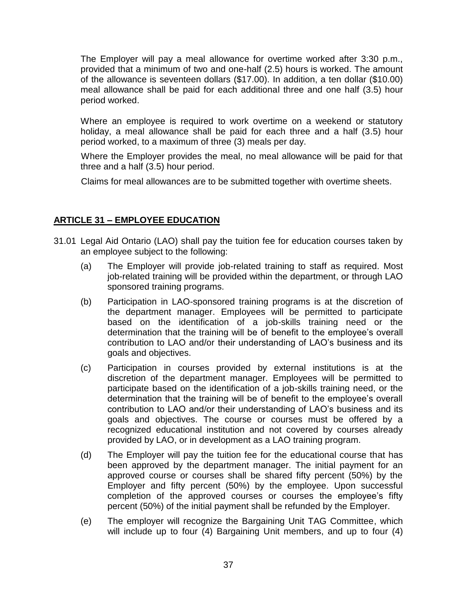The Employer will pay a meal allowance for overtime worked after 3:30 p.m., provided that a minimum of two and one-half (2.5) hours is worked. The amount of the allowance is seventeen dollars (\$17.00). In addition, a ten dollar (\$10.00) meal allowance shall be paid for each additional three and one half (3.5) hour period worked.

Where an employee is required to work overtime on a weekend or statutory holiday, a meal allowance shall be paid for each three and a half (3.5) hour period worked, to a maximum of three (3) meals per day.

Where the Employer provides the meal, no meal allowance will be paid for that three and a half (3.5) hour period.

Claims for meal allowances are to be submitted together with overtime sheets.

# **ARTICLE 31 – EMPLOYEE EDUCATION**

- 31.01 Legal Aid Ontario (LAO) shall pay the tuition fee for education courses taken by an employee subject to the following:
	- (a) The Employer will provide job-related training to staff as required. Most job-related training will be provided within the department, or through LAO sponsored training programs.
	- (b) Participation in LAO-sponsored training programs is at the discretion of the department manager. Employees will be permitted to participate based on the identification of a job-skills training need or the determination that the training will be of benefit to the employee's overall contribution to LAO and/or their understanding of LAO's business and its goals and objectives.
	- (c) Participation in courses provided by external institutions is at the discretion of the department manager. Employees will be permitted to participate based on the identification of a job-skills training need, or the determination that the training will be of benefit to the employee's overall contribution to LAO and/or their understanding of LAO's business and its goals and objectives. The course or courses must be offered by a recognized educational institution and not covered by courses already provided by LAO, or in development as a LAO training program.
	- (d) The Employer will pay the tuition fee for the educational course that has been approved by the department manager. The initial payment for an approved course or courses shall be shared fifty percent (50%) by the Employer and fifty percent (50%) by the employee. Upon successful completion of the approved courses or courses the employee's fifty percent (50%) of the initial payment shall be refunded by the Employer.
	- (e) The employer will recognize the Bargaining Unit TAG Committee, which will include up to four (4) Bargaining Unit members, and up to four (4)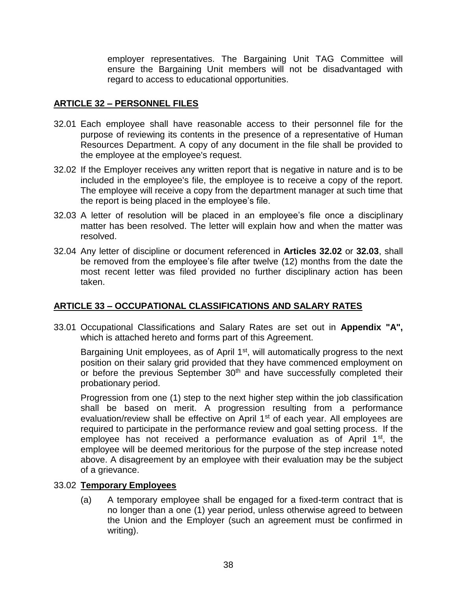employer representatives. The Bargaining Unit TAG Committee will ensure the Bargaining Unit members will not be disadvantaged with regard to access to educational opportunities.

# **ARTICLE 32 – PERSONNEL FILES**

- 32.01 Each employee shall have reasonable access to their personnel file for the purpose of reviewing its contents in the presence of a representative of Human Resources Department. A copy of any document in the file shall be provided to the employee at the employee's request.
- 32.02 If the Employer receives any written report that is negative in nature and is to be included in the employee's file, the employee is to receive a copy of the report. The employee will receive a copy from the department manager at such time that the report is being placed in the employee's file.
- 32.03 A letter of resolution will be placed in an employee's file once a disciplinary matter has been resolved. The letter will explain how and when the matter was resolved.
- 32.04 Any letter of discipline or document referenced in **Articles 32.02** or **32.03**, shall be removed from the employee's file after twelve (12) months from the date the most recent letter was filed provided no further disciplinary action has been taken.

# **ARTICLE 33 – OCCUPATIONAL CLASSIFICATIONS AND SALARY RATES**

33.01 Occupational Classifications and Salary Rates are set out in **Appendix "A",** which is attached hereto and forms part of this Agreement.

Bargaining Unit employees, as of April 1<sup>st</sup>, will automatically progress to the next position on their salary grid provided that they have commenced employment on or before the previous September 30<sup>th</sup> and have successfully completed their probationary period.

Progression from one (1) step to the next higher step within the job classification shall be based on merit. A progression resulting from a performance evaluation/review shall be effective on April 1<sup>st</sup> of each year. All employees are required to participate in the performance review and goal setting process. If the employee has not received a performance evaluation as of April 1<sup>st</sup>, the employee will be deemed meritorious for the purpose of the step increase noted above. A disagreement by an employee with their evaluation may be the subject of a grievance.

# 33.02 **Temporary Employees**

(a) A temporary employee shall be engaged for a fixed-term contract that is no longer than a one (1) year period, unless otherwise agreed to between the Union and the Employer (such an agreement must be confirmed in writing).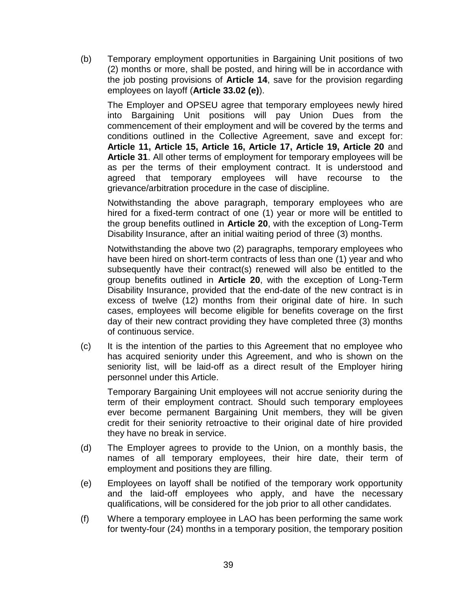(b) Temporary employment opportunities in Bargaining Unit positions of two (2) months or more, shall be posted, and hiring will be in accordance with the job posting provisions of **Article 14**, save for the provision regarding employees on layoff (**Article 33.02 (e)**).

The Employer and OPSEU agree that temporary employees newly hired into Bargaining Unit positions will pay Union Dues from the commencement of their employment and will be covered by the terms and conditions outlined in the Collective Agreement, save and except for: **Article 11, Article 15, Article 16, Article 17, Article 19, Article 20** and **Article 31**. All other terms of employment for temporary employees will be as per the terms of their employment contract. It is understood and agreed that temporary employees will have recourse to the grievance/arbitration procedure in the case of discipline.

Notwithstanding the above paragraph, temporary employees who are hired for a fixed-term contract of one (1) year or more will be entitled to the group benefits outlined in **Article 20**, with the exception of Long-Term Disability Insurance, after an initial waiting period of three (3) months.

Notwithstanding the above two (2) paragraphs, temporary employees who have been hired on short-term contracts of less than one (1) year and who subsequently have their contract(s) renewed will also be entitled to the group benefits outlined in **Article 20**, with the exception of Long-Term Disability Insurance, provided that the end-date of the new contract is in excess of twelve (12) months from their original date of hire. In such cases, employees will become eligible for benefits coverage on the first day of their new contract providing they have completed three (3) months of continuous service.

(c) It is the intention of the parties to this Agreement that no employee who has acquired seniority under this Agreement, and who is shown on the seniority list, will be laid-off as a direct result of the Employer hiring personnel under this Article.

Temporary Bargaining Unit employees will not accrue seniority during the term of their employment contract. Should such temporary employees ever become permanent Bargaining Unit members, they will be given credit for their seniority retroactive to their original date of hire provided they have no break in service.

- (d) The Employer agrees to provide to the Union, on a monthly basis, the names of all temporary employees, their hire date, their term of employment and positions they are filling.
- (e) Employees on layoff shall be notified of the temporary work opportunity and the laid-off employees who apply, and have the necessary qualifications, will be considered for the job prior to all other candidates.
- (f) Where a temporary employee in LAO has been performing the same work for twenty-four (24) months in a temporary position, the temporary position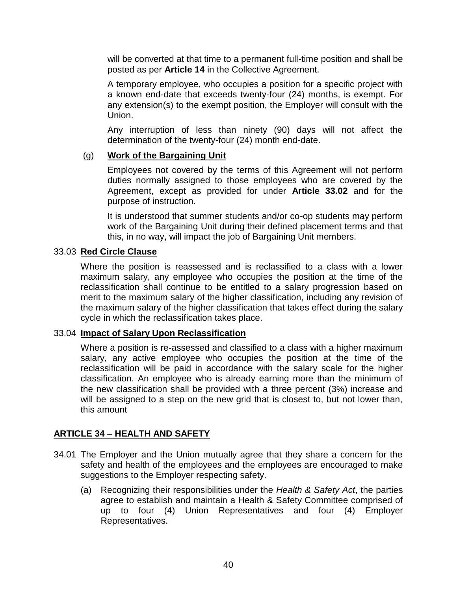will be converted at that time to a permanent full-time position and shall be posted as per **Article 14** in the Collective Agreement.

A temporary employee, who occupies a position for a specific project with a known end-date that exceeds twenty-four (24) months, is exempt. For any extension(s) to the exempt position, the Employer will consult with the Union.

Any interruption of less than ninety (90) days will not affect the determination of the twenty-four (24) month end-date.

#### (g) **Work of the Bargaining Unit**

Employees not covered by the terms of this Agreement will not perform duties normally assigned to those employees who are covered by the Agreement, except as provided for under **Article 33.02** and for the purpose of instruction.

It is understood that summer students and/or co-op students may perform work of the Bargaining Unit during their defined placement terms and that this, in no way, will impact the job of Bargaining Unit members.

#### 33.03 **Red Circle Clause**

Where the position is reassessed and is reclassified to a class with a lower maximum salary, any employee who occupies the position at the time of the reclassification shall continue to be entitled to a salary progression based on merit to the maximum salary of the higher classification, including any revision of the maximum salary of the higher classification that takes effect during the salary cycle in which the reclassification takes place.

#### 33.04 **Impact of Salary Upon Reclassification**

Where a position is re-assessed and classified to a class with a higher maximum salary, any active employee who occupies the position at the time of the reclassification will be paid in accordance with the salary scale for the higher classification. An employee who is already earning more than the minimum of the new classification shall be provided with a three percent (3%) increase and will be assigned to a step on the new grid that is closest to, but not lower than, this amount

# **ARTICLE 34 – HEALTH AND SAFETY**

- 34.01 The Employer and the Union mutually agree that they share a concern for the safety and health of the employees and the employees are encouraged to make suggestions to the Employer respecting safety.
	- (a) Recognizing their responsibilities under the *Health & Safety Act*, the parties agree to establish and maintain a Health & Safety Committee comprised of up to four (4) Union Representatives and four (4) Employer Representatives.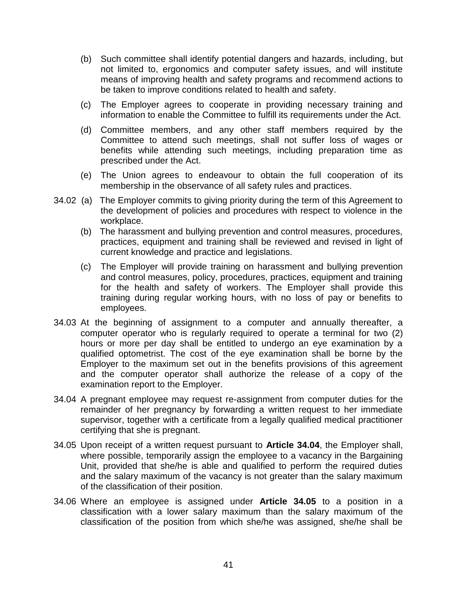- (b) Such committee shall identify potential dangers and hazards, including, but not limited to, ergonomics and computer safety issues, and will institute means of improving health and safety programs and recommend actions to be taken to improve conditions related to health and safety.
- (c) The Employer agrees to cooperate in providing necessary training and information to enable the Committee to fulfill its requirements under the Act.
- (d) Committee members, and any other staff members required by the Committee to attend such meetings, shall not suffer loss of wages or benefits while attending such meetings, including preparation time as prescribed under the Act.
- (e) The Union agrees to endeavour to obtain the full cooperation of its membership in the observance of all safety rules and practices.
- 34.02 (a) The Employer commits to giving priority during the term of this Agreement to the development of policies and procedures with respect to violence in the workplace.
	- (b) The harassment and bullying prevention and control measures, procedures, practices, equipment and training shall be reviewed and revised in light of current knowledge and practice and legislations.
	- (c) The Employer will provide training on harassment and bullying prevention and control measures, policy, procedures, practices, equipment and training for the health and safety of workers. The Employer shall provide this training during regular working hours, with no loss of pay or benefits to employees.
- 34.03 At the beginning of assignment to a computer and annually thereafter, a computer operator who is regularly required to operate a terminal for two (2) hours or more per day shall be entitled to undergo an eye examination by a qualified optometrist. The cost of the eye examination shall be borne by the Employer to the maximum set out in the benefits provisions of this agreement and the computer operator shall authorize the release of a copy of the examination report to the Employer.
- 34.04 A pregnant employee may request re-assignment from computer duties for the remainder of her pregnancy by forwarding a written request to her immediate supervisor, together with a certificate from a legally qualified medical practitioner certifying that she is pregnant.
- 34.05 Upon receipt of a written request pursuant to **Article 34.04**, the Employer shall, where possible, temporarily assign the employee to a vacancy in the Bargaining Unit, provided that she/he is able and qualified to perform the required duties and the salary maximum of the vacancy is not greater than the salary maximum of the classification of their position.
- 34.06 Where an employee is assigned under **Article 34.05** to a position in a classification with a lower salary maximum than the salary maximum of the classification of the position from which she/he was assigned, she/he shall be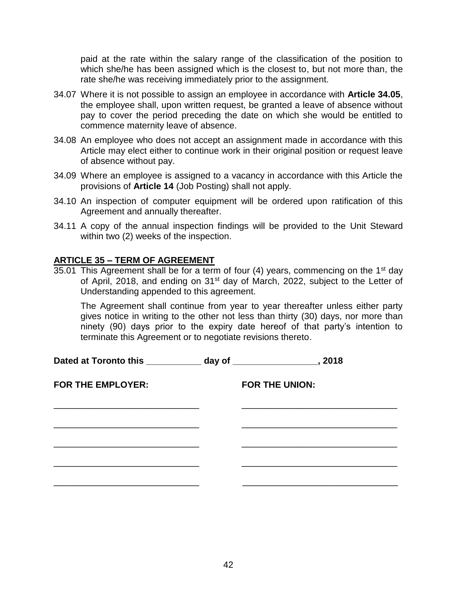paid at the rate within the salary range of the classification of the position to which she/he has been assigned which is the closest to, but not more than, the rate she/he was receiving immediately prior to the assignment.

- 34.07 Where it is not possible to assign an employee in accordance with **Article 34.05**, the employee shall, upon written request, be granted a leave of absence without pay to cover the period preceding the date on which she would be entitled to commence maternity leave of absence.
- 34.08 An employee who does not accept an assignment made in accordance with this Article may elect either to continue work in their original position or request leave of absence without pay.
- 34.09 Where an employee is assigned to a vacancy in accordance with this Article the provisions of **Article 14** (Job Posting) shall not apply.
- 34.10 An inspection of computer equipment will be ordered upon ratification of this Agreement and annually thereafter.
- 34.11 A copy of the annual inspection findings will be provided to the Unit Steward within two (2) weeks of the inspection.

#### **ARTICLE 35 – TERM OF AGREEMENT**

35.01 This Agreement shall be for a term of four  $(4)$  years, commencing on the 1<sup>st</sup> day of April, 2018, and ending on 31st day of March, 2022, subject to the Letter of Understanding appended to this agreement.

The Agreement shall continue from year to year thereafter unless either party gives notice in writing to the other not less than thirty (30) days, nor more than ninety (90) days prior to the expiry date hereof of that party's intention to terminate this Agreement or to negotiate revisions thereto.

| Dated at Toronto this _____________ day of ___________________, 2018                                                 |                       |  |
|----------------------------------------------------------------------------------------------------------------------|-----------------------|--|
| <b>FOR THE EMPLOYER:</b>                                                                                             | <b>FOR THE UNION:</b> |  |
| <u> 1989 - Johann John Stone, markin amerikan bisa di sebagai pertama dan personal dan personal dan personal dan</u> |                       |  |
|                                                                                                                      |                       |  |
|                                                                                                                      |                       |  |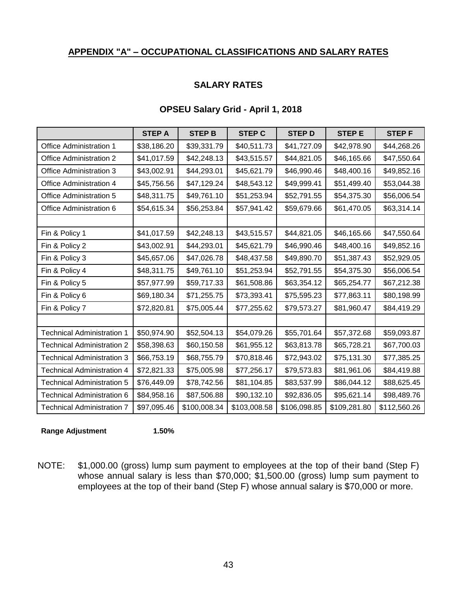# **APPENDIX "A" – OCCUPATIONAL CLASSIFICATIONS AND SALARY RATES**

#### **SALARY RATES**

#### **OPSEU Salary Grid - April 1, 2018**

|                                   | <b>STEP A</b> | <b>STEP B</b> | <b>STEP C</b> | <b>STEP D</b> | <b>STEP E</b> | <b>STEPF</b> |
|-----------------------------------|---------------|---------------|---------------|---------------|---------------|--------------|
| <b>Office Administration 1</b>    | \$38,186.20   | \$39,331.79   | \$40,511.73   | \$41,727.09   | \$42,978.90   | \$44,268.26  |
| <b>Office Administration 2</b>    | \$41,017.59   | \$42,248.13   | \$43,515.57   | \$44,821.05   | \$46,165.66   | \$47,550.64  |
| Office Administration 3           | \$43,002.91   | \$44,293.01   | \$45,621.79   | \$46,990.46   | \$48,400.16   | \$49,852.16  |
| Office Administration 4           | \$45,756.56   | \$47,129.24   | \$48,543.12   | \$49,999.41   | \$51,499.40   | \$53,044.38  |
| Office Administration 5           | \$48,311.75   | \$49,761.10   | \$51,253.94   | \$52,791.55   | \$54,375.30   | \$56,006.54  |
| Office Administration 6           | \$54,615.34   | \$56,253.84   | \$57,941.42   | \$59,679.66   | \$61,470.05   | \$63,314.14  |
|                                   |               |               |               |               |               |              |
| Fin & Policy 1                    | \$41,017.59   | \$42,248.13   | \$43,515.57   | \$44,821.05   | \$46,165.66   | \$47,550.64  |
| Fin & Policy 2                    | \$43,002.91   | \$44,293.01   | \$45,621.79   | \$46,990.46   | \$48,400.16   | \$49,852.16  |
| Fin & Policy 3                    | \$45,657.06   | \$47,026.78   | \$48,437.58   | \$49,890.70   | \$51,387.43   | \$52,929.05  |
| Fin & Policy 4                    | \$48,311.75   | \$49,761.10   | \$51,253.94   | \$52,791.55   | \$54,375.30   | \$56,006.54  |
| Fin & Policy 5                    | \$57,977.99   | \$59,717.33   | \$61,508.86   | \$63,354.12   | \$65,254.77   | \$67,212.38  |
| Fin & Policy 6                    | \$69,180.34   | \$71,255.75   | \$73,393.41   | \$75,595.23   | \$77,863.11   | \$80,198.99  |
| Fin & Policy 7                    | \$72,820.81   | \$75,005.44   | \$77,255.62   | \$79,573.27   | \$81,960.47   | \$84,419.29  |
|                                   |               |               |               |               |               |              |
| <b>Technical Administration 1</b> | \$50,974.90   | \$52,504.13   | \$54,079.26   | \$55,701.64   | \$57,372.68   | \$59,093.87  |
| <b>Technical Administration 2</b> | \$58,398.63   | \$60,150.58   | \$61,955.12   | \$63,813.78   | \$65,728.21   | \$67,700.03  |
| <b>Technical Administration 3</b> | \$66,753.19   | \$68,755.79   | \$70,818.46   | \$72,943.02   | \$75,131.30   | \$77,385.25  |
| <b>Technical Administration 4</b> | \$72,821.33   | \$75,005.98   | \$77,256.17   | \$79,573.83   | \$81,961.06   | \$84,419.88  |
| <b>Technical Administration 5</b> | \$76,449.09   | \$78,742.56   | \$81,104.85   | \$83,537.99   | \$86,044.12   | \$88,625.45  |
| <b>Technical Administration 6</b> | \$84,958.16   | \$87,506.88   | \$90,132.10   | \$92,836.05   | \$95,621.14   | \$98,489.76  |
| <b>Technical Administration 7</b> | \$97,095.46   | \$100,008.34  | \$103,008.58  | \$106,098.85  | \$109,281.80  | \$112,560.26 |

**Range Adjustment 1.50%**

NOTE: \$1,000.00 (gross) lump sum payment to employees at the top of their band (Step F) whose annual salary is less than \$70,000; \$1,500.00 (gross) lump sum payment to employees at the top of their band (Step F) whose annual salary is \$70,000 or more.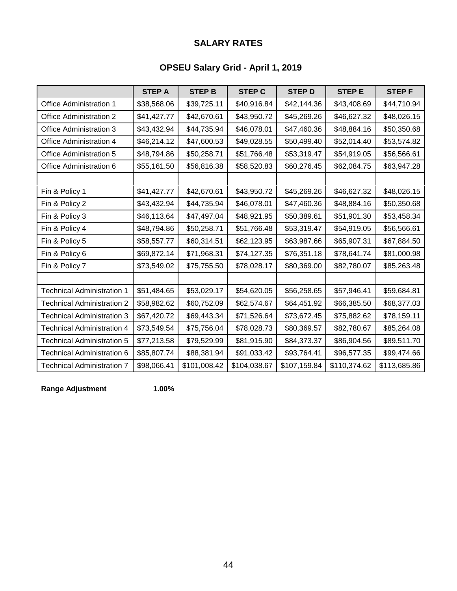# **OPSEU Salary Grid - April 1, 2019**

|                                   | <b>STEP A</b> | <b>STEP B</b> | <b>STEP C</b> | <b>STEP D</b> | <b>STEP E</b> | <b>STEPF</b> |
|-----------------------------------|---------------|---------------|---------------|---------------|---------------|--------------|
| <b>Office Administration 1</b>    | \$38,568.06   | \$39,725.11   | \$40,916.84   | \$42,144.36   | \$43,408.69   | \$44,710.94  |
| <b>Office Administration 2</b>    | \$41,427.77   | \$42,670.61   | \$43,950.72   | \$45,269.26   | \$46,627.32   | \$48,026.15  |
| Office Administration 3           | \$43,432.94   | \$44,735.94   | \$46,078.01   | \$47,460.36   | \$48,884.16   | \$50,350.68  |
| Office Administration 4           | \$46,214.12   | \$47,600.53   | \$49,028.55   | \$50,499.40   | \$52,014.40   | \$53,574.82  |
| <b>Office Administration 5</b>    | \$48,794.86   | \$50,258.71   | \$51,766.48   | \$53,319.47   | \$54,919.05   | \$56,566.61  |
| Office Administration 6           | \$55,161.50   | \$56,816.38   | \$58,520.83   | \$60,276.45   | \$62,084.75   | \$63,947.28  |
|                                   |               |               |               |               |               |              |
| Fin & Policy 1                    | \$41,427.77   | \$42,670.61   | \$43,950.72   | \$45,269.26   | \$46,627.32   | \$48,026.15  |
| Fin & Policy 2                    | \$43,432.94   | \$44,735.94   | \$46,078.01   | \$47,460.36   | \$48,884.16   | \$50,350.68  |
| Fin & Policy 3                    | \$46,113.64   | \$47,497.04   | \$48,921.95   | \$50,389.61   | \$51,901.30   | \$53,458.34  |
| Fin & Policy 4                    | \$48,794.86   | \$50,258.71   | \$51,766.48   | \$53,319.47   | \$54,919.05   | \$56,566.61  |
| Fin & Policy 5                    | \$58,557.77   | \$60,314.51   | \$62,123.95   | \$63,987.66   | \$65,907.31   | \$67,884.50  |
| Fin & Policy 6                    | \$69,872.14   | \$71,968.31   | \$74,127.35   | \$76,351.18   | \$78,641.74   | \$81,000.98  |
| Fin & Policy 7                    | \$73,549.02   | \$75,755.50   | \$78,028.17   | \$80,369.00   | \$82,780.07   | \$85,263.48  |
|                                   |               |               |               |               |               |              |
| <b>Technical Administration 1</b> | \$51,484.65   | \$53,029.17   | \$54,620.05   | \$56,258.65   | \$57,946.41   | \$59,684.81  |
| <b>Technical Administration 2</b> | \$58,982.62   | \$60,752.09   | \$62,574.67   | \$64,451.92   | \$66,385.50   | \$68,377.03  |
| <b>Technical Administration 3</b> | \$67,420.72   | \$69,443.34   | \$71,526.64   | \$73,672.45   | \$75,882.62   | \$78,159.11  |
| <b>Technical Administration 4</b> | \$73,549.54   | \$75,756.04   | \$78,028.73   | \$80,369.57   | \$82,780.67   | \$85,264.08  |
| <b>Technical Administration 5</b> | \$77,213.58   | \$79,529.99   | \$81,915.90   | \$84,373.37   | \$86,904.56   | \$89,511.70  |
| <b>Technical Administration 6</b> | \$85,807.74   | \$88,381.94   | \$91,033.42   | \$93,764.41   | \$96,577.35   | \$99,474.66  |
| <b>Technical Administration 7</b> | \$98,066.41   | \$101,008.42  | \$104,038.67  | \$107,159.84  | \$110,374.62  | \$113,685.86 |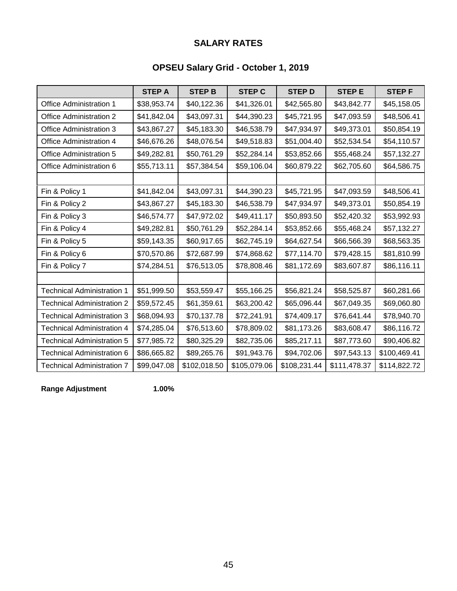# **OPSEU Salary Grid - October 1, 2019**

|                                   | <b>STEP A</b> | <b>STEP B</b> | <b>STEP C</b> | <b>STEP D</b> | <b>STEP E</b> | <b>STEPF</b> |
|-----------------------------------|---------------|---------------|---------------|---------------|---------------|--------------|
| <b>Office Administration 1</b>    | \$38,953.74   | \$40,122.36   | \$41,326.01   | \$42,565.80   | \$43,842.77   | \$45,158.05  |
| Office Administration 2           | \$41,842.04   | \$43,097.31   | \$44,390.23   | \$45,721.95   | \$47,093.59   | \$48,506.41  |
| Office Administration 3           | \$43,867.27   | \$45,183.30   | \$46,538.79   | \$47,934.97   | \$49,373.01   | \$50,854.19  |
| Office Administration 4           | \$46,676.26   | \$48,076.54   | \$49,518.83   | \$51,004.40   | \$52,534.54   | \$54,110.57  |
| <b>Office Administration 5</b>    | \$49,282.81   | \$50,761.29   | \$52,284.14   | \$53,852.66   | \$55,468.24   | \$57,132.27  |
| Office Administration 6           | \$55,713.11   | \$57,384.54   | \$59,106.04   | \$60,879.22   | \$62,705.60   | \$64,586.75  |
|                                   |               |               |               |               |               |              |
| Fin & Policy 1                    | \$41,842.04   | \$43,097.31   | \$44,390.23   | \$45,721.95   | \$47,093.59   | \$48,506.41  |
| Fin & Policy 2                    | \$43,867.27   | \$45,183.30   | \$46,538.79   | \$47,934.97   | \$49,373.01   | \$50,854.19  |
| Fin & Policy 3                    | \$46,574.77   | \$47,972.02   | \$49,411.17   | \$50,893.50   | \$52,420.32   | \$53,992.93  |
| Fin & Policy 4                    | \$49,282.81   | \$50,761.29   | \$52,284.14   | \$53,852.66   | \$55,468.24   | \$57,132.27  |
| Fin & Policy 5                    | \$59,143.35   | \$60,917.65   | \$62,745.19   | \$64,627.54   | \$66,566.39   | \$68,563.35  |
| Fin & Policy 6                    | \$70,570.86   | \$72,687.99   | \$74,868.62   | \$77,114.70   | \$79,428.15   | \$81,810.99  |
| Fin & Policy 7                    | \$74,284.51   | \$76,513.05   | \$78,808.46   | \$81,172.69   | \$83,607.87   | \$86,116.11  |
|                                   |               |               |               |               |               |              |
| <b>Technical Administration 1</b> | \$51,999.50   | \$53,559.47   | \$55,166.25   | \$56,821.24   | \$58,525.87   | \$60,281.66  |
| <b>Technical Administration 2</b> | \$59,572.45   | \$61,359.61   | \$63,200.42   | \$65,096.44   | \$67,049.35   | \$69,060.80  |
| <b>Technical Administration 3</b> | \$68,094.93   | \$70,137.78   | \$72,241.91   | \$74,409.17   | \$76,641.44   | \$78,940.70  |
| <b>Technical Administration 4</b> | \$74,285.04   | \$76,513.60   | \$78,809.02   | \$81,173.26   | \$83,608.47   | \$86,116.72  |
| <b>Technical Administration 5</b> | \$77,985.72   | \$80,325.29   | \$82,735.06   | \$85,217.11   | \$87,773.60   | \$90,406.82  |
| <b>Technical Administration 6</b> | \$86,665.82   | \$89,265.76   | \$91,943.76   | \$94,702.06   | \$97,543.13   | \$100,469.41 |
| <b>Technical Administration 7</b> | \$99,047.08   | \$102,018.50  | \$105,079.06  | \$108,231.44  | \$111,478.37  | \$114,822.72 |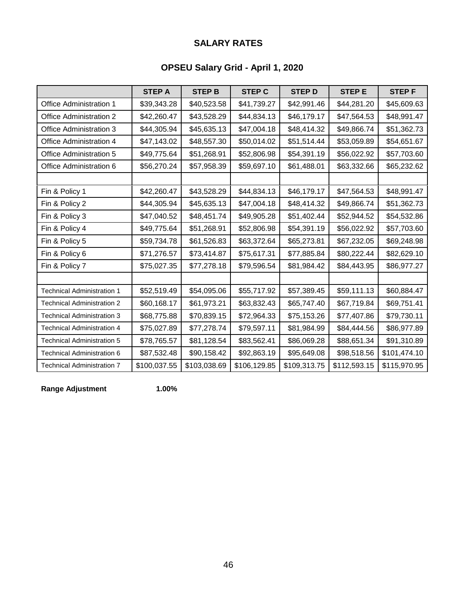# **OPSEU Salary Grid - April 1, 2020**

|                                   | <b>STEP A</b> | <b>STEP B</b> | <b>STEP C</b> | <b>STEP D</b> | <b>STEP E</b> | <b>STEPF</b> |
|-----------------------------------|---------------|---------------|---------------|---------------|---------------|--------------|
| <b>Office Administration 1</b>    | \$39,343.28   | \$40,523.58   | \$41,739.27   | \$42,991.46   | \$44,281.20   | \$45,609.63  |
| <b>Office Administration 2</b>    | \$42,260.47   | \$43,528.29   | \$44,834.13   | \$46,179.17   | \$47,564.53   | \$48,991.47  |
| Office Administration 3           | \$44,305.94   | \$45,635.13   | \$47,004.18   | \$48,414.32   | \$49,866.74   | \$51,362.73  |
| Office Administration 4           | \$47,143.02   | \$48,557.30   | \$50,014.02   | \$51,514.44   | \$53,059.89   | \$54,651.67  |
| <b>Office Administration 5</b>    | \$49,775.64   | \$51,268.91   | \$52,806.98   | \$54,391.19   | \$56,022.92   | \$57,703.60  |
| Office Administration 6           | \$56,270.24   | \$57,958.39   | \$59,697.10   | \$61,488.01   | \$63,332.66   | \$65,232.62  |
|                                   |               |               |               |               |               |              |
| Fin & Policy 1                    | \$42,260.47   | \$43,528.29   | \$44,834.13   | \$46,179.17   | \$47,564.53   | \$48,991.47  |
| Fin & Policy 2                    | \$44,305.94   | \$45,635.13   | \$47,004.18   | \$48,414.32   | \$49,866.74   | \$51,362.73  |
| Fin & Policy 3                    | \$47,040.52   | \$48,451.74   | \$49,905.28   | \$51,402.44   | \$52,944.52   | \$54,532.86  |
| Fin & Policy 4                    | \$49,775.64   | \$51,268.91   | \$52,806.98   | \$54,391.19   | \$56,022.92   | \$57,703.60  |
| Fin & Policy 5                    | \$59,734.78   | \$61,526.83   | \$63,372.64   | \$65,273.81   | \$67,232.05   | \$69,248.98  |
| Fin & Policy 6                    | \$71,276.57   | \$73,414.87   | \$75,617.31   | \$77,885.84   | \$80,222.44   | \$82,629.10  |
| Fin & Policy 7                    | \$75,027.35   | \$77,278.18   | \$79,596.54   | \$81,984.42   | \$84,443.95   | \$86,977.27  |
|                                   |               |               |               |               |               |              |
| <b>Technical Administration 1</b> | \$52,519.49   | \$54,095.06   | \$55,717.92   | \$57,389.45   | \$59,111.13   | \$60,884.47  |
| <b>Technical Administration 2</b> | \$60,168.17   | \$61,973.21   | \$63,832.43   | \$65,747.40   | \$67,719.84   | \$69,751.41  |
| <b>Technical Administration 3</b> | \$68,775.88   | \$70,839.15   | \$72,964.33   | \$75,153.26   | \$77,407.86   | \$79,730.11  |
| <b>Technical Administration 4</b> | \$75,027.89   | \$77,278.74   | \$79,597.11   | \$81,984.99   | \$84,444.56   | \$86,977.89  |
| <b>Technical Administration 5</b> | \$78,765.57   | \$81,128.54   | \$83,562.41   | \$86,069.28   | \$88,651.34   | \$91,310.89  |
| <b>Technical Administration 6</b> | \$87,532.48   | \$90,158.42   | \$92,863.19   | \$95,649.08   | \$98,518.56   | \$101,474.10 |
| <b>Technical Administration 7</b> | \$100,037.55  | \$103,038.69  | \$106,129.85  | \$109,313.75  | \$112,593.15  | \$115,970.95 |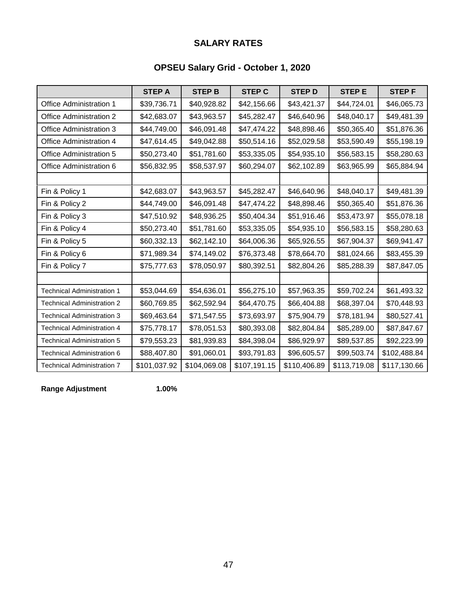# **OPSEU Salary Grid - October 1, 2020**

|                                   | <b>STEP A</b> | <b>STEP B</b> | <b>STEP C</b> | <b>STEP D</b> | <b>STEP E</b> | <b>STEPF</b> |
|-----------------------------------|---------------|---------------|---------------|---------------|---------------|--------------|
| <b>Office Administration 1</b>    | \$39,736.71   | \$40,928.82   | \$42,156.66   | \$43,421.37   | \$44,724.01   | \$46,065.73  |
| <b>Office Administration 2</b>    | \$42,683.07   | \$43,963.57   | \$45,282.47   | \$46,640.96   | \$48,040.17   | \$49,481.39  |
| Office Administration 3           | \$44,749.00   | \$46,091.48   | \$47,474.22   | \$48,898.46   | \$50,365.40   | \$51,876.36  |
| <b>Office Administration 4</b>    | \$47,614.45   | \$49,042.88   | \$50,514.16   | \$52,029.58   | \$53,590.49   | \$55,198.19  |
| <b>Office Administration 5</b>    | \$50,273.40   | \$51,781.60   | \$53,335.05   | \$54,935.10   | \$56,583.15   | \$58,280.63  |
| Office Administration 6           | \$56,832.95   | \$58,537.97   | \$60,294.07   | \$62,102.89   | \$63,965.99   | \$65,884.94  |
|                                   |               |               |               |               |               |              |
| Fin & Policy 1                    | \$42,683.07   | \$43,963.57   | \$45,282.47   | \$46,640.96   | \$48,040.17   | \$49,481.39  |
| Fin & Policy 2                    | \$44,749.00   | \$46,091.48   | \$47,474.22   | \$48,898.46   | \$50,365.40   | \$51,876.36  |
| Fin & Policy 3                    | \$47,510.92   | \$48,936.25   | \$50,404.34   | \$51,916.46   | \$53,473.97   | \$55,078.18  |
| Fin & Policy 4                    | \$50,273.40   | \$51,781.60   | \$53,335.05   | \$54,935.10   | \$56,583.15   | \$58,280.63  |
| Fin & Policy 5                    | \$60,332.13   | \$62,142.10   | \$64,006.36   | \$65,926.55   | \$67,904.37   | \$69,941.47  |
| Fin & Policy 6                    | \$71,989.34   | \$74,149.02   | \$76,373.48   | \$78,664.70   | \$81,024.66   | \$83,455.39  |
| Fin & Policy 7                    | \$75,777.63   | \$78,050.97   | \$80,392.51   | \$82,804.26   | \$85,288.39   | \$87,847.05  |
|                                   |               |               |               |               |               |              |
| <b>Technical Administration 1</b> | \$53,044.69   | \$54,636.01   | \$56,275.10   | \$57,963.35   | \$59,702.24   | \$61,493.32  |
| <b>Technical Administration 2</b> | \$60,769.85   | \$62,592.94   | \$64,470.75   | \$66,404.88   | \$68,397.04   | \$70,448.93  |
| <b>Technical Administration 3</b> | \$69,463.64   | \$71,547.55   | \$73,693.97   | \$75,904.79   | \$78,181.94   | \$80,527.41  |
| <b>Technical Administration 4</b> | \$75,778.17   | \$78,051.53   | \$80,393.08   | \$82,804.84   | \$85,289.00   | \$87,847.67  |
| <b>Technical Administration 5</b> | \$79,553.23   | \$81,939.83   | \$84,398.04   | \$86,929.97   | \$89,537.85   | \$92,223.99  |
| Technical Administration 6        | \$88,407.80   | \$91,060.01   | \$93,791.83   | \$96,605.57   | \$99,503.74   | \$102,488.84 |
| <b>Technical Administration 7</b> | \$101,037.92  | \$104,069.08  | \$107,191.15  | \$110,406.89  | \$113,719.08  | \$117,130.66 |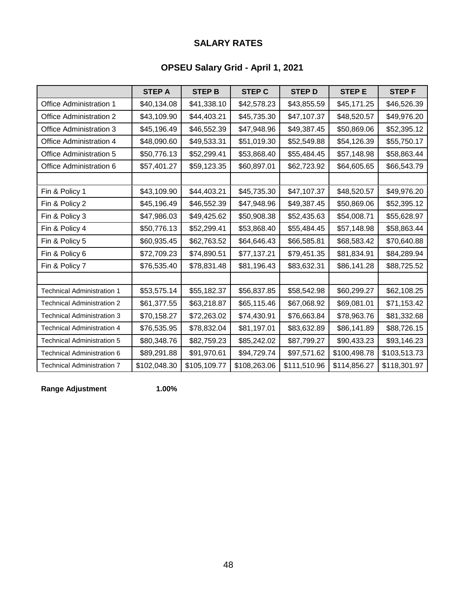# **OPSEU Salary Grid - April 1, 2021**

|                                   | <b>STEP A</b> | <b>STEP B</b> | <b>STEP C</b> | <b>STEP D</b> | <b>STEP E</b> | <b>STEPF</b> |
|-----------------------------------|---------------|---------------|---------------|---------------|---------------|--------------|
| <b>Office Administration 1</b>    | \$40,134.08   | \$41,338.10   | \$42,578.23   | \$43,855.59   | \$45,171.25   | \$46,526.39  |
| <b>Office Administration 2</b>    | \$43,109.90   | \$44,403.21   | \$45,735.30   | \$47,107.37   | \$48,520.57   | \$49,976.20  |
| Office Administration 3           | \$45,196.49   | \$46,552.39   | \$47,948.96   | \$49,387.45   | \$50,869.06   | \$52,395.12  |
| Office Administration 4           | \$48,090.60   | \$49,533.31   | \$51,019.30   | \$52,549.88   | \$54,126.39   | \$55,750.17  |
| <b>Office Administration 5</b>    | \$50,776.13   | \$52,299.41   | \$53,868.40   | \$55,484.45   | \$57,148.98   | \$58,863.44  |
| Office Administration 6           | \$57,401.27   | \$59,123.35   | \$60,897.01   | \$62,723.92   | \$64,605.65   | \$66,543.79  |
|                                   |               |               |               |               |               |              |
| Fin & Policy 1                    | \$43,109.90   | \$44,403.21   | \$45,735.30   | \$47,107.37   | \$48,520.57   | \$49,976.20  |
| Fin & Policy 2                    | \$45,196.49   | \$46,552.39   | \$47,948.96   | \$49,387.45   | \$50,869.06   | \$52,395.12  |
| Fin & Policy 3                    | \$47,986.03   | \$49,425.62   | \$50,908.38   | \$52,435.63   | \$54,008.71   | \$55,628.97  |
| Fin & Policy 4                    | \$50,776.13   | \$52,299.41   | \$53,868.40   | \$55,484.45   | \$57,148.98   | \$58,863.44  |
| Fin & Policy 5                    | \$60,935.45   | \$62,763.52   | \$64,646.43   | \$66,585.81   | \$68,583.42   | \$70,640.88  |
| Fin & Policy 6                    | \$72,709.23   | \$74,890.51   | \$77,137.21   | \$79,451.35   | \$81,834.91   | \$84,289.94  |
| Fin & Policy 7                    | \$76,535.40   | \$78,831.48   | \$81,196.43   | \$83,632.31   | \$86,141.28   | \$88,725.52  |
|                                   |               |               |               |               |               |              |
| <b>Technical Administration 1</b> | \$53,575.14   | \$55,182.37   | \$56,837.85   | \$58,542.98   | \$60,299.27   | \$62,108.25  |
| <b>Technical Administration 2</b> | \$61,377.55   | \$63,218.87   | \$65,115.46   | \$67,068.92   | \$69,081.01   | \$71,153.42  |
| <b>Technical Administration 3</b> | \$70,158.27   | \$72,263.02   | \$74,430.91   | \$76,663.84   | \$78,963.76   | \$81,332.68  |
| <b>Technical Administration 4</b> | \$76,535.95   | \$78,832.04   | \$81,197.01   | \$83,632.89   | \$86,141.89   | \$88,726.15  |
| <b>Technical Administration 5</b> | \$80,348.76   | \$82,759.23   | \$85,242.02   | \$87,799.27   | \$90,433.23   | \$93,146.23  |
| <b>Technical Administration 6</b> | \$89,291.88   | \$91,970.61   | \$94,729.74   | \$97,571.62   | \$100,498.78  | \$103,513.73 |
| <b>Technical Administration 7</b> | \$102,048.30  | \$105,109.77  | \$108,263.06  | \$111,510.96  | \$114,856.27  | \$118,301.97 |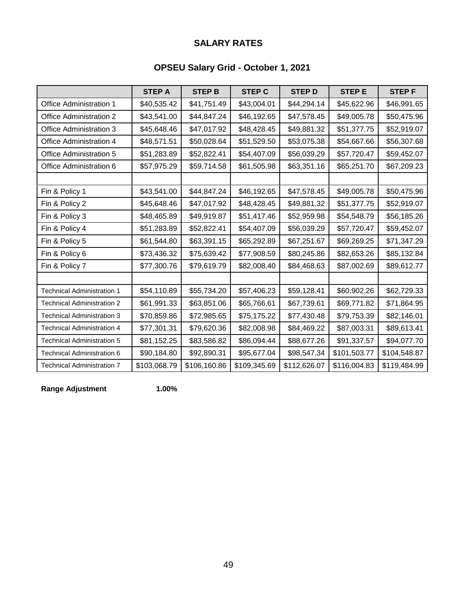# **OPSEU Salary Grid - October 1, 2021**

|                                   | <b>STEP A</b> | <b>STEP B</b> | <b>STEP C</b> | <b>STEP D</b> | <b>STEP E</b> | <b>STEPF</b> |
|-----------------------------------|---------------|---------------|---------------|---------------|---------------|--------------|
| <b>Office Administration 1</b>    | \$40,535.42   | \$41,751.49   | \$43,004.01   | \$44,294.14   | \$45,622.96   | \$46,991.65  |
| <b>Office Administration 2</b>    | \$43,541.00   | \$44,847.24   | \$46,192.65   | \$47,578.45   | \$49,005.78   | \$50,475.96  |
| Office Administration 3           | \$45,648.46   | \$47,017.92   | \$48,428.45   | \$49,881.32   | \$51,377.75   | \$52,919.07  |
| Office Administration 4           | \$48,571.51   | \$50,028.64   | \$51,529.50   | \$53,075.38   | \$54,667.66   | \$56,307.68  |
| <b>Office Administration 5</b>    | \$51,283.89   | \$52,822.41   | \$54,407.09   | \$56,039.29   | \$57,720.47   | \$59,452.07  |
| Office Administration 6           | \$57,975.29   | \$59,714.58   | \$61,505.98   | \$63,351.16   | \$65,251.70   | \$67,209.23  |
|                                   |               |               |               |               |               |              |
| Fin & Policy 1                    | \$43,541.00   | \$44,847.24   | \$46,192.65   | \$47,578.45   | \$49,005.78   | \$50,475.96  |
| Fin & Policy 2                    | \$45,648.46   | \$47,017.92   | \$48,428.45   | \$49,881.32   | \$51,377.75   | \$52,919.07  |
| Fin & Policy 3                    | \$48,465.89   | \$49,919.87   | \$51,417.46   | \$52,959.98   | \$54,548.79   | \$56,185.26  |
| Fin & Policy 4                    | \$51,283.89   | \$52,822.41   | \$54,407.09   | \$56,039.29   | \$57,720.47   | \$59,452.07  |
| Fin & Policy 5                    | \$61,544.80   | \$63,391.15   | \$65,292.89   | \$67,251.67   | \$69,269.25   | \$71,347.29  |
| Fin & Policy 6                    | \$73,436.32   | \$75,639.42   | \$77,908.59   | \$80,245.86   | \$82,653.26   | \$85,132.84  |
| Fin & Policy 7                    | \$77,300.76   | \$79,619.79   | \$82,008.40   | \$84,468.63   | \$87,002.69   | \$89,612.77  |
|                                   |               |               |               |               |               |              |
| <b>Technical Administration 1</b> | \$54,110.89   | \$55,734.20   | \$57,406.23   | \$59,128.41   | \$60,902.26   | \$62,729.33  |
| <b>Technical Administration 2</b> | \$61,991.33   | \$63,851.06   | \$65,766.61   | \$67,739.61   | \$69,771.82   | \$71,864.95  |
| <b>Technical Administration 3</b> | \$70,859.86   | \$72,985.65   | \$75,175.22   | \$77,430.48   | \$79,753.39   | \$82,146.01  |
| <b>Technical Administration 4</b> | \$77,301.31   | \$79,620.36   | \$82,008.98   | \$84,469.22   | \$87,003.31   | \$89,613.41  |
| <b>Technical Administration 5</b> | \$81,152.25   | \$83,586.82   | \$86,094.44   | \$88,677.26   | \$91,337.57   | \$94,077.70  |
| <b>Technical Administration 6</b> | \$90,184.80   | \$92,890.31   | \$95,677.04   | \$98,547.34   | \$101,503.77  | \$104,548.87 |
| <b>Technical Administration 7</b> | \$103,068.79  | \$106,160.86  | \$109,345.69  | \$112,626.07  | \$116,004.83  | \$119,484.99 |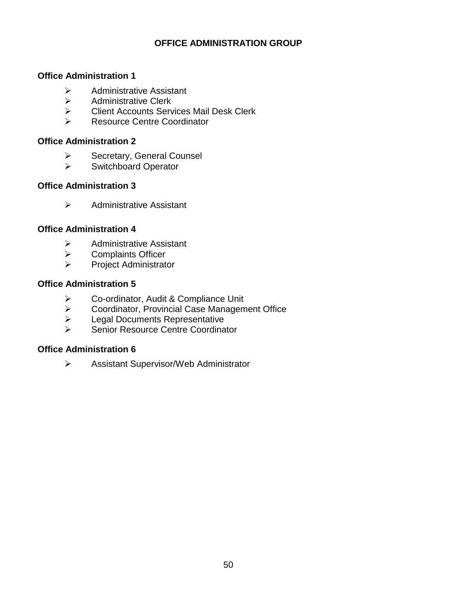# **OFFICE ADMINISTRATION GROUP**

#### **Office Administration 1**

- $\triangleright$  Administrative Assistant
- $\triangleright$  Administrative Clerk
- **▶ Client Accounts Services Mail Desk Clerk**
- **EXEC** Resource Centre Coordinator

#### **Office Administration 2**

- $\triangleright$  Secretary, General Counsel
- $\triangleright$  Switchboard Operator

#### **Office Administration 3**

 $\triangleright$  Administrative Assistant

#### **Office Administration 4**

- $\triangleright$  Administrative Assistant
- Complaints Officer
- $\triangleright$  Project Administrator

#### **Office Administration 5**

- Co-ordinator, Audit & Compliance Unit
- Coordinator, Provincial Case Management Office
- **Egal Documents Representative**<br> **EXECUTE:** Senior Resource Centre Coordina
- Senior Resource Centre Coordinator

# **Office Administration 6**

Assistant Supervisor/Web Administrator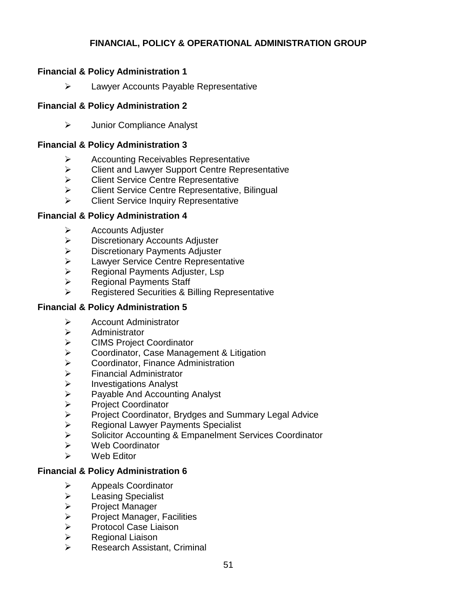# **FINANCIAL, POLICY & OPERATIONAL ADMINISTRATION GROUP**

#### **Financial & Policy Administration 1**

Lawyer Accounts Payable Representative

#### **Financial & Policy Administration 2**

Junior Compliance Analyst

#### **Financial & Policy Administration 3**

- Accounting Receivables Representative
- **▶ Client and Lawyer Support Centre Representative**
- **▶ Client Service Centre Representative**
- ▶ Client Service Centre Representative, Bilingual
- ▶ Client Service Inquiry Representative

#### **Financial & Policy Administration 4**

- $\triangleright$  Accounts Adjuster
- Discretionary Accounts Adjuster
- Discretionary Payments Adjuster
- **EXEC** Lawyer Service Centre Representative
- **EXECUTE:** Regional Payments Adjuster, Lsp
- ▶ Regional Payments Staff
- Registered Securities & Billing Representative

#### **Financial & Policy Administration 5**

- $\triangleright$  Account Administrator
- $\triangleright$  Administrator
- **▶ CIMS Project Coordinator**
- $\geq$  Coordinator, Case Management & Litigation<br>  $\geq$  Coordinator, Finance Administration
- Coordinator, Finance Administration
- $\triangleright$  Financial Administrator<br> $\triangleright$  Investigations Analyst
- 
- > Investigations Analyst<br>> Payable And Accountir Payable And Accounting Analyst
- Project Coordinator
- Project Coordinator, Brydges and Summary Legal Advice
- ▶ Regional Lawyer Payments Specialist
- Solicitor Accounting & Empanelment Services Coordinator
- **▶ Web Coordinator**
- Web Editor

# **Financial & Policy Administration 6**

- Appeals Coordinator
- Leasing Specialist
- Project Manager
- > Project Manager, Facilities<br>► Protocol Case Liaison
- Protocol Case Liaison
- $\triangleright$  Regional Liaison
- **EXEC** Research Assistant, Criminal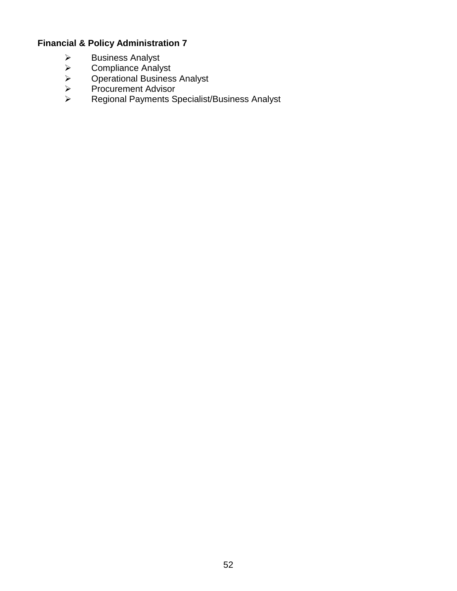# **Financial & Policy Administration 7**

- > Business Analyst
- **▶ Compliance Analyst**
- Operational Business Analyst
- $\triangleright$  Procurement Advisor
- Business Analyst<br>
→ Compliance Analyst<br>
→ Operational Business Analyst<br>
→ Procurement Advisor<br>
→ Regional Payments Specialist/Business Analyst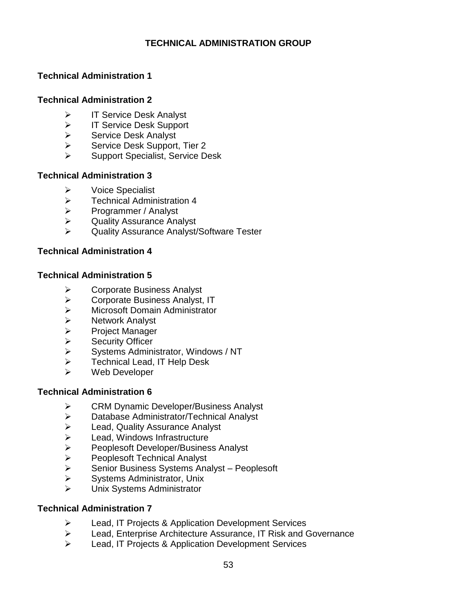#### **TECHNICAL ADMINISTRATION GROUP**

# **Technical Administration 1**

#### **Technical Administration 2**

- > IT Service Desk Analyst
- > IT Service Desk Support
- **▶ Service Desk Analyst**
- ▶ Service Desk Support, Tier 2
- ▶ Support Specialist, Service Desk

#### **Technical Administration 3**

- **▶ Voice Specialist**
- $\triangleright$  Technical Administration 4<br> $\triangleright$  Programmer / Analyst
- Programmer / Analyst
- **▶ Quality Assurance Analyst**
- Quality Assurance Analyst/Software Tester

#### **Technical Administration 4**

#### **Technical Administration 5**

- Corporate Business Analyst
- **►** Corporate Business Analyst, IT
- $\geq$  Microsoft Domain Administrator<br>  $\geq$  Network Analyst
- Network Analyst
- $\triangleright$  Project Manager
- **►** Security Officer
- Systems Administrator, Windows / NT
- > Technical Lead, IT Help Desk
- Web Developer

#### **Technical Administration 6**

- CRM Dynamic Developer/Business Analyst
- Database Administrator/Technical Analyst
- Eead, Quality Assurance Analyst
- Lead, Windows Infrastructure
- Peoplesoft Developer/Business Analyst
- Peoplesoft Technical Analyst
- ▶ Senior Business Systems Analyst Peoplesoft
- Systems Administrator, Unix
- Unix Systems Administrator

# **Technical Administration 7**

- Lead, IT Projects & Application Development Services
- Lead, Enterprise Architecture Assurance, IT Risk and Governance
- Lead, IT Projects & Application Development Services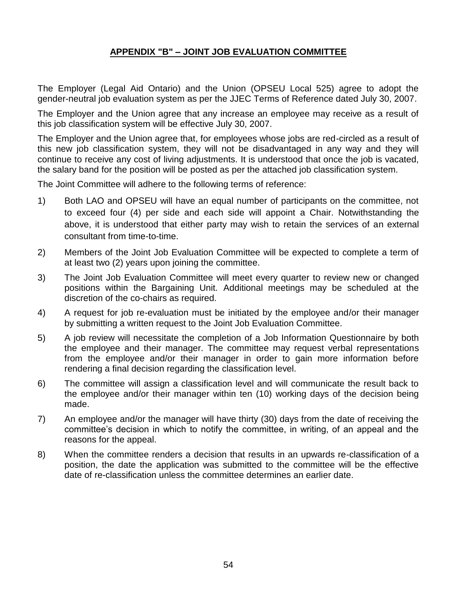# **APPENDIX "B" – JOINT JOB EVALUATION COMMITTEE**

The Employer (Legal Aid Ontario) and the Union (OPSEU Local 525) agree to adopt the gender-neutral job evaluation system as per the JJEC Terms of Reference dated July 30, 2007.

The Employer and the Union agree that any increase an employee may receive as a result of this job classification system will be effective July 30, 2007.

The Employer and the Union agree that, for employees whose jobs are red-circled as a result of this new job classification system, they will not be disadvantaged in any way and they will continue to receive any cost of living adjustments. It is understood that once the job is vacated, the salary band for the position will be posted as per the attached job classification system.

The Joint Committee will adhere to the following terms of reference:

- 1) Both LAO and OPSEU will have an equal number of participants on the committee, not to exceed four (4) per side and each side will appoint a Chair. Notwithstanding the above, it is understood that either party may wish to retain the services of an external consultant from time-to-time.
- 2) Members of the Joint Job Evaluation Committee will be expected to complete a term of at least two (2) years upon joining the committee.
- 3) The Joint Job Evaluation Committee will meet every quarter to review new or changed positions within the Bargaining Unit. Additional meetings may be scheduled at the discretion of the co-chairs as required.
- 4) A request for job re-evaluation must be initiated by the employee and/or their manager by submitting a written request to the Joint Job Evaluation Committee.
- 5) A job review will necessitate the completion of a Job Information Questionnaire by both the employee and their manager. The committee may request verbal representations from the employee and/or their manager in order to gain more information before rendering a final decision regarding the classification level.
- 6) The committee will assign a classification level and will communicate the result back to the employee and/or their manager within ten (10) working days of the decision being made.
- 7) An employee and/or the manager will have thirty (30) days from the date of receiving the committee's decision in which to notify the committee, in writing, of an appeal and the reasons for the appeal.
- 8) When the committee renders a decision that results in an upwards re-classification of a position, the date the application was submitted to the committee will be the effective date of re-classification unless the committee determines an earlier date.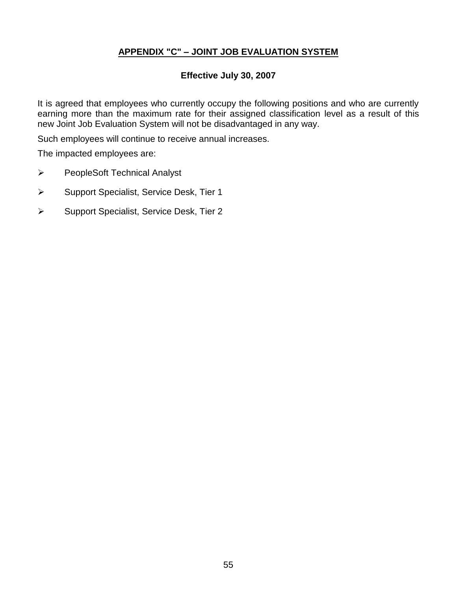# **APPENDIX "C" – JOINT JOB EVALUATION SYSTEM**

#### **Effective July 30, 2007**

It is agreed that employees who currently occupy the following positions and who are currently earning more than the maximum rate for their assigned classification level as a result of this new Joint Job Evaluation System will not be disadvantaged in any way.

Such employees will continue to receive annual increases.

The impacted employees are:

- ▶ PeopleSoft Technical Analyst
- Support Specialist, Service Desk, Tier 1
- Support Specialist, Service Desk, Tier 2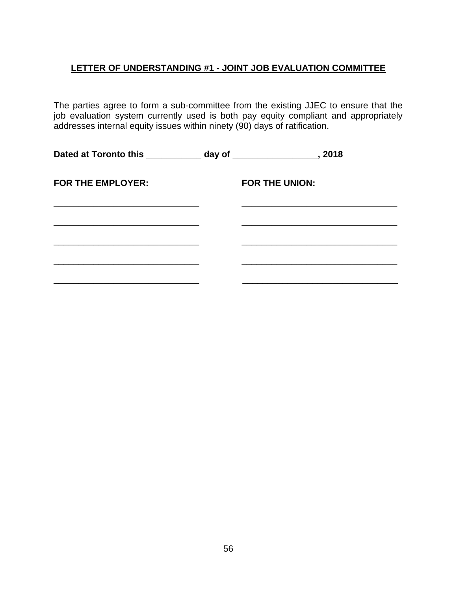# **LETTER OF UNDERSTANDING #1 - JOINT JOB EVALUATION COMMITTEE**

The parties agree to form a sub-committee from the existing JJEC to ensure that the job evaluation system currently used is both pay equity compliant and appropriately addresses internal equity issues within ninety (90) days of ratification.

|                          | , 2018                |  |
|--------------------------|-----------------------|--|
| <b>FOR THE EMPLOYER:</b> | <b>FOR THE UNION:</b> |  |
|                          |                       |  |
|                          |                       |  |
|                          |                       |  |
|                          |                       |  |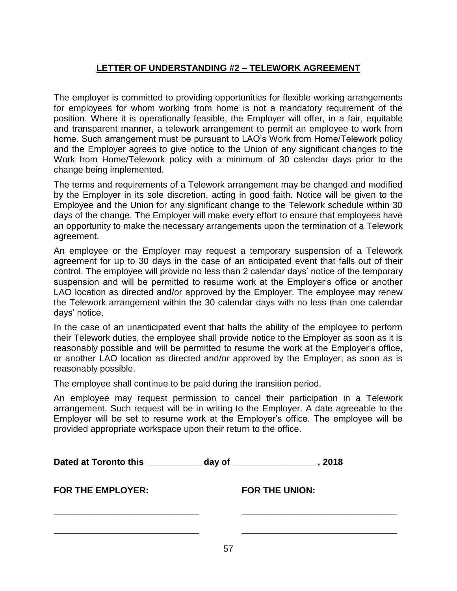# **LETTER OF UNDERSTANDING #2 – TELEWORK AGREEMENT**

The employer is committed to providing opportunities for flexible working arrangements for employees for whom working from home is not a mandatory requirement of the position. Where it is operationally feasible, the Employer will offer, in a fair, equitable and transparent manner, a telework arrangement to permit an employee to work from home. Such arrangement must be pursuant to LAO's Work from Home/Telework policy and the Employer agrees to give notice to the Union of any significant changes to the Work from Home/Telework policy with a minimum of 30 calendar days prior to the change being implemented.

The terms and requirements of a Telework arrangement may be changed and modified by the Employer in its sole discretion, acting in good faith. Notice will be given to the Employee and the Union for any significant change to the Telework schedule within 30 days of the change. The Employer will make every effort to ensure that employees have an opportunity to make the necessary arrangements upon the termination of a Telework agreement.

An employee or the Employer may request a temporary suspension of a Telework agreement for up to 30 days in the case of an anticipated event that falls out of their control. The employee will provide no less than 2 calendar days' notice of the temporary suspension and will be permitted to resume work at the Employer's office or another LAO location as directed and/or approved by the Employer. The employee may renew the Telework arrangement within the 30 calendar days with no less than one calendar days' notice.

In the case of an unanticipated event that halts the ability of the employee to perform their Telework duties, the employee shall provide notice to the Employer as soon as it is reasonably possible and will be permitted to resume the work at the Employer's office, or another LAO location as directed and/or approved by the Employer, as soon as is reasonably possible.

The employee shall continue to be paid during the transition period.

An employee may request permission to cancel their participation in a Telework arrangement. Such request will be in writing to the Employer. A date agreeable to the Employer will be set to resume work at the Employer's office. The employee will be provided appropriate workspace upon their return to the office.

| Dated at Toronto this    | day of | 2018           |
|--------------------------|--------|----------------|
| <b>FOR THE EMPLOYER:</b> |        | FOR THE UNION: |
|                          |        |                |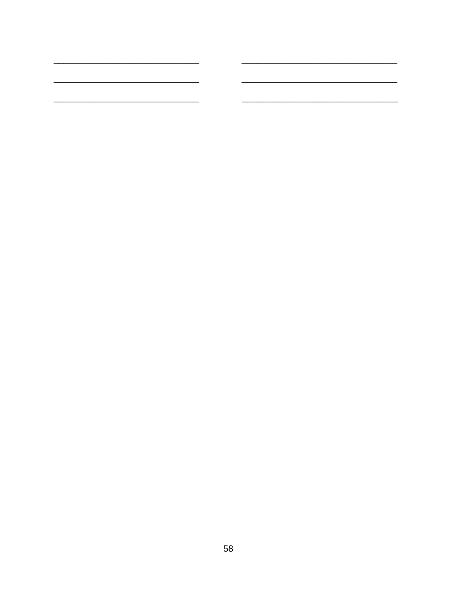58

<u> 1980 - Jan Barat III, prestavlja po</u>

 $\frac{1}{1}$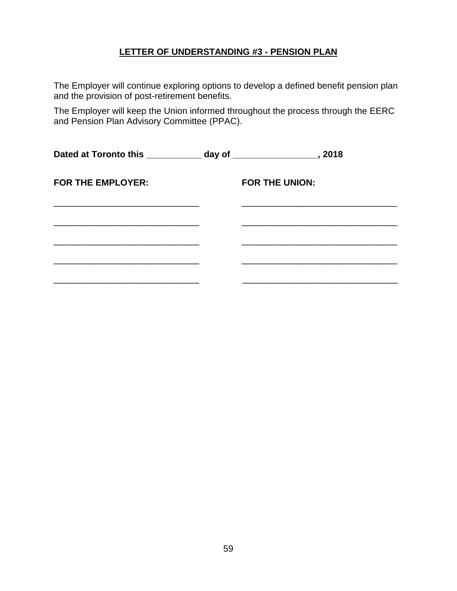# **LETTER OF UNDERSTANDING #3 - PENSION PLAN**

The Employer will continue exploring options to develop a defined benefit pension plan and the provision of post-retirement benefits.

The Employer will keep the Union informed throughout the process through the EERC and Pension Plan Advisory Committee (PPAC).

| Dated at Toronto this _____________ day of ____________________, 2018 |                       |  |
|-----------------------------------------------------------------------|-----------------------|--|
| <b>FOR THE EMPLOYER:</b>                                              | <b>FOR THE UNION:</b> |  |
|                                                                       |                       |  |
|                                                                       |                       |  |
|                                                                       |                       |  |
|                                                                       |                       |  |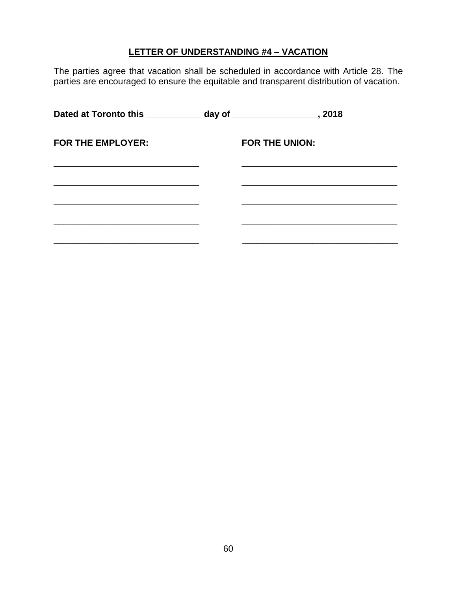# **LETTER OF UNDERSTANDING #4 – VACATION**

The parties agree that vacation shall be scheduled in accordance with Article 28. The parties are encouraged to ensure the equitable and transparent distribution of vacation.

| Dated at Toronto this _____________ day of ____________________, 2018 |                       |
|-----------------------------------------------------------------------|-----------------------|
| <b>FOR THE EMPLOYER:</b>                                              | <b>FOR THE UNION:</b> |
|                                                                       |                       |
|                                                                       |                       |
|                                                                       |                       |
|                                                                       |                       |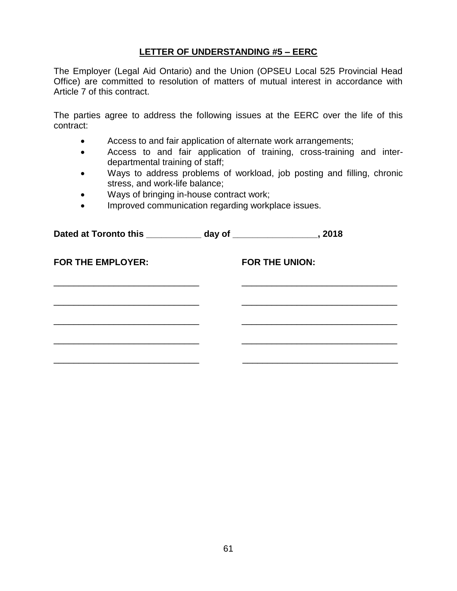# **LETTER OF UNDERSTANDING #5 – EERC**

The Employer (Legal Aid Ontario) and the Union (OPSEU Local 525 Provincial Head Office) are committed to resolution of matters of mutual interest in accordance with Article 7 of this contract.

The parties agree to address the following issues at the EERC over the life of this contract:

- Access to and fair application of alternate work arrangements;
- Access to and fair application of training, cross-training and interdepartmental training of staff;
- Ways to address problems of workload, job posting and filling, chronic stress, and work-life balance;
- Ways of bringing in-house contract work;

\_\_\_\_\_\_\_\_\_\_\_\_\_\_\_\_\_\_\_\_\_\_\_\_\_\_\_\_\_ \_\_\_\_\_\_\_\_\_\_\_\_\_\_\_\_\_\_\_\_\_\_\_\_\_\_\_\_\_\_\_

**Improved communication regarding workplace issues.** 

**Dated at Toronto this \_\_\_\_\_\_\_\_\_\_\_ day of \_\_\_\_\_\_\_\_\_\_\_\_\_\_\_\_\_, 2018**

\_\_\_\_\_\_\_\_\_\_\_\_\_\_\_\_\_\_\_\_\_\_\_\_\_\_\_\_\_ \_\_\_\_\_\_\_\_\_\_\_\_\_\_\_\_\_\_\_\_\_\_\_\_\_\_\_\_\_\_\_

\_\_\_\_\_\_\_\_\_\_\_\_\_\_\_\_\_\_\_\_\_\_\_\_\_\_\_\_\_ \_\_\_\_\_\_\_\_\_\_\_\_\_\_\_\_\_\_\_\_\_\_\_\_\_\_\_\_\_\_\_

\_\_\_\_\_\_\_\_\_\_\_\_\_\_\_\_\_\_\_\_\_\_\_\_\_\_\_\_\_ \_\_\_\_\_\_\_\_\_\_\_\_\_\_\_\_\_\_\_\_\_\_\_\_\_\_\_\_\_\_\_

 $\overline{\phantom{a}}$  , and the contract of the contract of the contract of the contract of the contract of the contract of the contract of the contract of the contract of the contract of the contract of the contract of the contrac

**FOR THE EMPLOYER: FOR THE UNION:**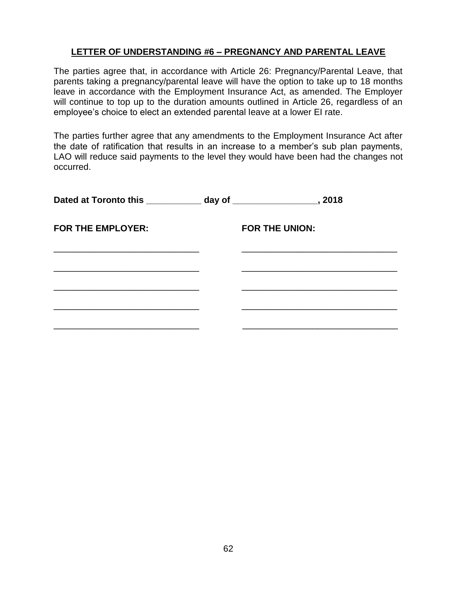# **LETTER OF UNDERSTANDING #6 – PREGNANCY AND PARENTAL LEAVE**

The parties agree that, in accordance with Article 26: Pregnancy/Parental Leave, that parents taking a pregnancy/parental leave will have the option to take up to 18 months leave in accordance with the Employment Insurance Act, as amended. The Employer will continue to top up to the duration amounts outlined in Article 26, regardless of an employee's choice to elect an extended parental leave at a lower EI rate.

The parties further agree that any amendments to the Employment Insurance Act after the date of ratification that results in an increase to a member's sub plan payments, LAO will reduce said payments to the level they would have been had the changes not occurred.

| Dated at Toronto this _____________ day of ___________________, 2018 |                       |
|----------------------------------------------------------------------|-----------------------|
| <b>FOR THE EMPLOYER:</b>                                             | <b>FOR THE UNION:</b> |
|                                                                      |                       |
|                                                                      |                       |
|                                                                      |                       |
|                                                                      |                       |